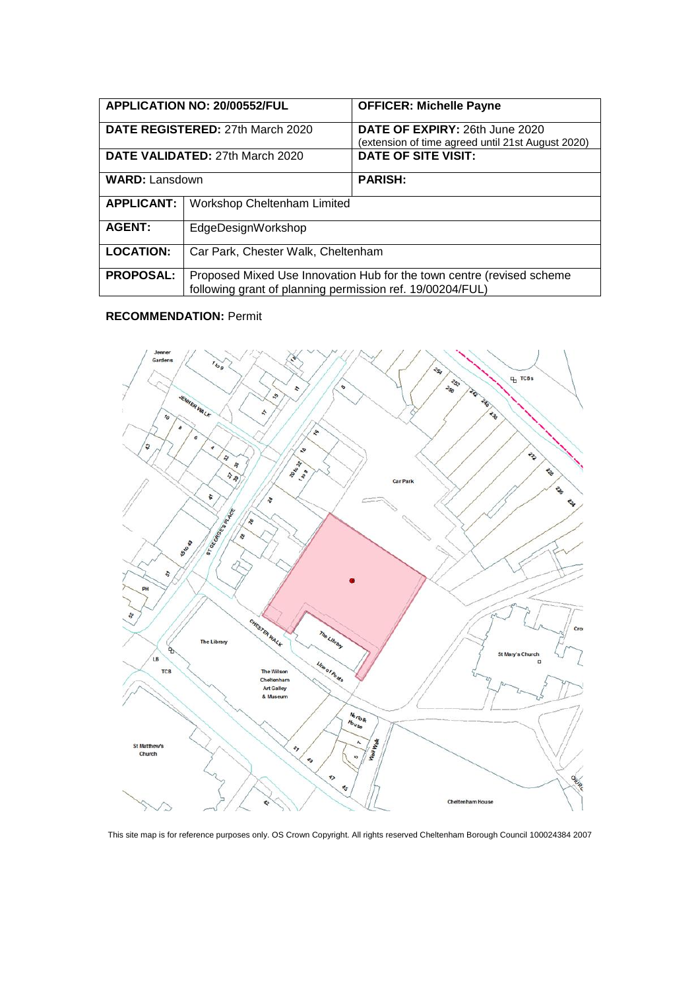|                                         | <b>APPLICATION NO: 20/00552/FUL</b>                                                                                                | <b>OFFICER: Michelle Payne</b>                                                      |
|-----------------------------------------|------------------------------------------------------------------------------------------------------------------------------------|-------------------------------------------------------------------------------------|
| <b>DATE REGISTERED: 27th March 2020</b> |                                                                                                                                    | DATE OF EXPIRY: 26th June 2020<br>(extension of time agreed until 21st August 2020) |
| DATE VALIDATED: 27th March 2020         |                                                                                                                                    | <b>DATE OF SITE VISIT:</b>                                                          |
| <b>WARD: Lansdown</b>                   |                                                                                                                                    | <b>PARISH:</b>                                                                      |
| <b>APPLICANT:</b>                       | <b>Workshop Cheltenham Limited</b>                                                                                                 |                                                                                     |
| <b>AGENT:</b>                           | EdgeDesignWorkshop                                                                                                                 |                                                                                     |
| <b>LOCATION:</b>                        | Car Park, Chester Walk, Cheltenham                                                                                                 |                                                                                     |
| <b>PROPOSAL:</b>                        | Proposed Mixed Use Innovation Hub for the town centre (revised scheme<br>following grant of planning permission ref. 19/00204/FUL) |                                                                                     |

## **RECOMMENDATION:** Permit



This site map is for reference purposes only. OS Crown Copyright. All rights reserved Cheltenham Borough Council 100024384 2007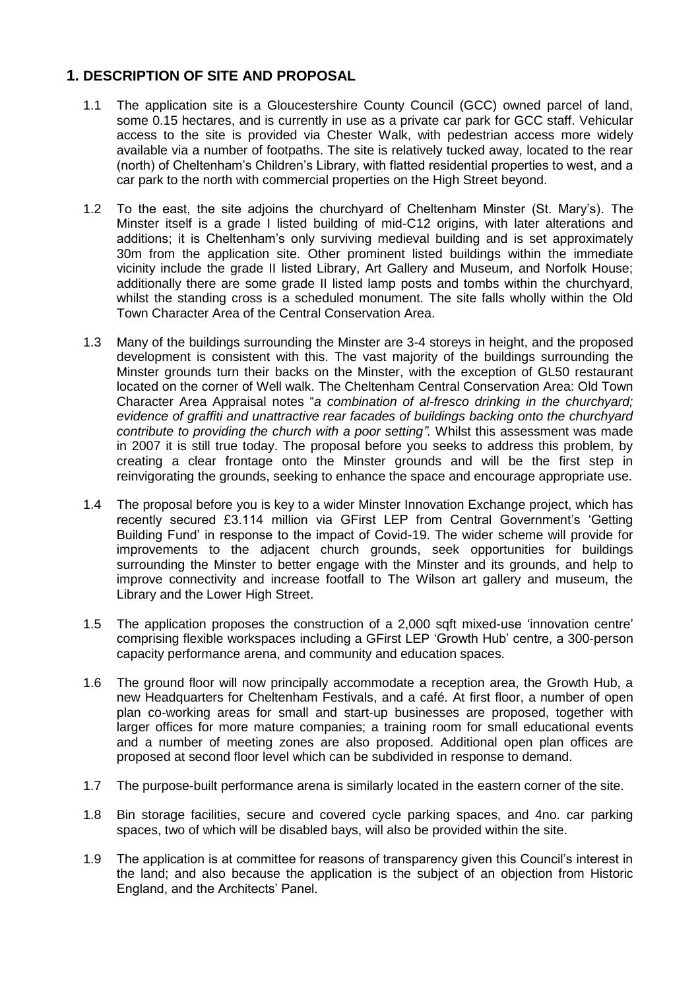## **1. DESCRIPTION OF SITE AND PROPOSAL**

- 1.1 The application site is a Gloucestershire County Council (GCC) owned parcel of land, some 0.15 hectares, and is currently in use as a private car park for GCC staff. Vehicular access to the site is provided via Chester Walk, with pedestrian access more widely available via a number of footpaths. The site is relatively tucked away, located to the rear (north) of Cheltenham's Children's Library, with flatted residential properties to west, and a car park to the north with commercial properties on the High Street beyond.
- 1.2 To the east, the site adjoins the churchyard of Cheltenham Minster (St. Mary's). The Minster itself is a grade I listed building of mid-C12 origins, with later alterations and additions; it is Cheltenham's only surviving medieval building and is set approximately 30m from the application site. Other prominent listed buildings within the immediate vicinity include the grade II listed Library, Art Gallery and Museum, and Norfolk House; additionally there are some grade II listed lamp posts and tombs within the churchyard, whilst the standing cross is a scheduled monument. The site falls wholly within the Old Town Character Area of the Central Conservation Area.
- 1.3 Many of the buildings surrounding the Minster are 3-4 storeys in height, and the proposed development is consistent with this. The vast majority of the buildings surrounding the Minster grounds turn their backs on the Minster, with the exception of GL50 restaurant located on the corner of Well walk. The Cheltenham Central Conservation Area: Old Town Character Area Appraisal notes "*a combination of al-fresco drinking in the churchyard; evidence of graffiti and unattractive rear facades of buildings backing onto the churchyard contribute to providing the church with a poor setting".* Whilst this assessment was made in 2007 it is still true today. The proposal before you seeks to address this problem, by creating a clear frontage onto the Minster grounds and will be the first step in reinvigorating the grounds, seeking to enhance the space and encourage appropriate use.
- 1.4 The proposal before you is key to a wider Minster Innovation Exchange project, which has recently secured £3.114 million via GFirst LEP from Central Government's 'Getting Building Fund' in response to the impact of Covid-19. The wider scheme will provide for improvements to the adjacent church grounds, seek opportunities for buildings surrounding the Minster to better engage with the Minster and its grounds, and help to improve connectivity and increase footfall to The Wilson art gallery and museum, the Library and the Lower High Street.
- 1.5 The application proposes the construction of a 2,000 sqft mixed-use 'innovation centre' comprising flexible workspaces including a GFirst LEP 'Growth Hub' centre, a 300-person capacity performance arena, and community and education spaces.
- 1.6 The ground floor will now principally accommodate a reception area, the Growth Hub, a new Headquarters for Cheltenham Festivals, and a café. At first floor, a number of open plan co-working areas for small and start-up businesses are proposed, together with larger offices for more mature companies; a training room for small educational events and a number of meeting zones are also proposed. Additional open plan offices are proposed at second floor level which can be subdivided in response to demand.
- 1.7 The purpose-built performance arena is similarly located in the eastern corner of the site.
- 1.8 Bin storage facilities, secure and covered cycle parking spaces, and 4no. car parking spaces, two of which will be disabled bays, will also be provided within the site.
- 1.9 The application is at committee for reasons of transparency given this Council's interest in the land; and also because the application is the subject of an objection from Historic England, and the Architects' Panel.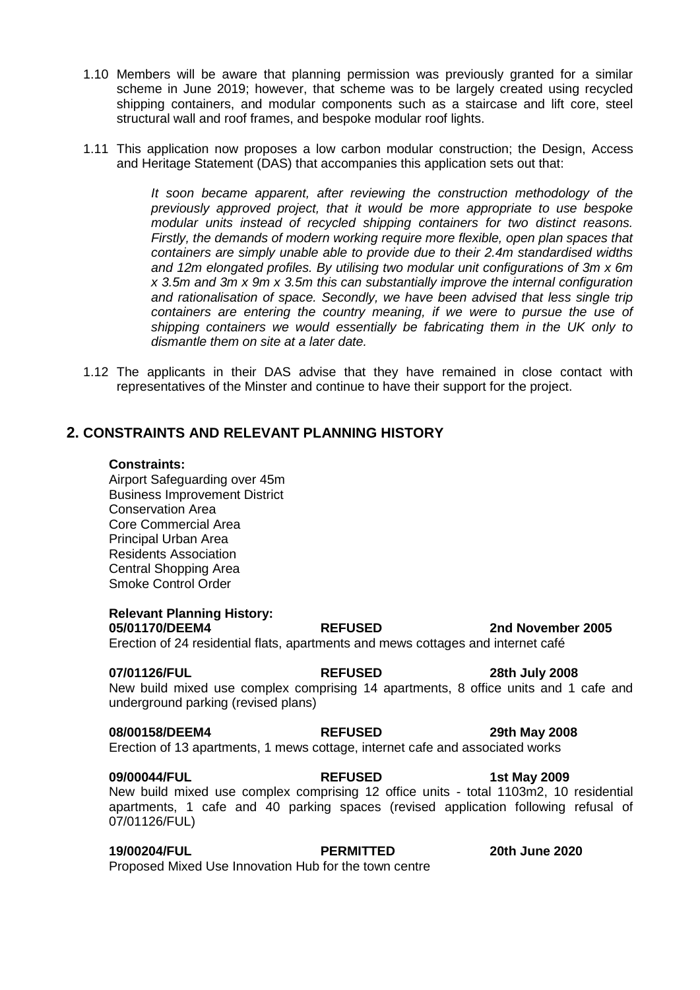- 1.10 Members will be aware that planning permission was previously granted for a similar scheme in June 2019; however, that scheme was to be largely created using recycled shipping containers, and modular components such as a staircase and lift core, steel structural wall and roof frames, and bespoke modular roof lights.
- 1.11 This application now proposes a low carbon modular construction; the Design, Access and Heritage Statement (DAS) that accompanies this application sets out that:

*It soon became apparent, after reviewing the construction methodology of the previously approved project, that it would be more appropriate to use bespoke modular units instead of recycled shipping containers for two distinct reasons. Firstly, the demands of modern working require more flexible, open plan spaces that containers are simply unable able to provide due to their 2.4m standardised widths and 12m elongated profiles. By utilising two modular unit configurations of 3m x 6m x 3.5m and 3m x 9m x 3.5m this can substantially improve the internal configuration and rationalisation of space. Secondly, we have been advised that less single trip*  containers are entering the country meaning, if we were to pursue the use of *shipping containers we would essentially be fabricating them in the UK only to dismantle them on site at a later date.*

1.12 The applicants in their DAS advise that they have remained in close contact with representatives of the Minster and continue to have their support for the project.

## **2. CONSTRAINTS AND RELEVANT PLANNING HISTORY**

#### **Constraints:**

Airport Safeguarding over 45m Business Improvement District Conservation Area Core Commercial Area Principal Urban Area Residents Association Central Shopping Area Smoke Control Order

### **Relevant Planning History:**

**05/01170/DEEM4 REFUSED 2nd November 2005**  Erection of 24 residential flats, apartments and mews cottages and internet café

**07/01126/FUL REFUSED 28th July 2008**  New build mixed use complex comprising 14 apartments, 8 office units and 1 cafe and underground parking (revised plans)

# **08/00158/DEEM4 REFUSED 29th May 2008**

Erection of 13 apartments, 1 mews cottage, internet cafe and associated works

#### **09/00044/FUL REFUSED 1st May 2009**  New build mixed use complex comprising 12 office units - total 1103m2, 10 residential apartments, 1 cafe and 40 parking spaces (revised application following refusal of 07/01126/FUL)

**19/00204/FUL PERMITTED 20th June 2020** Proposed Mixed Use Innovation Hub for the town centre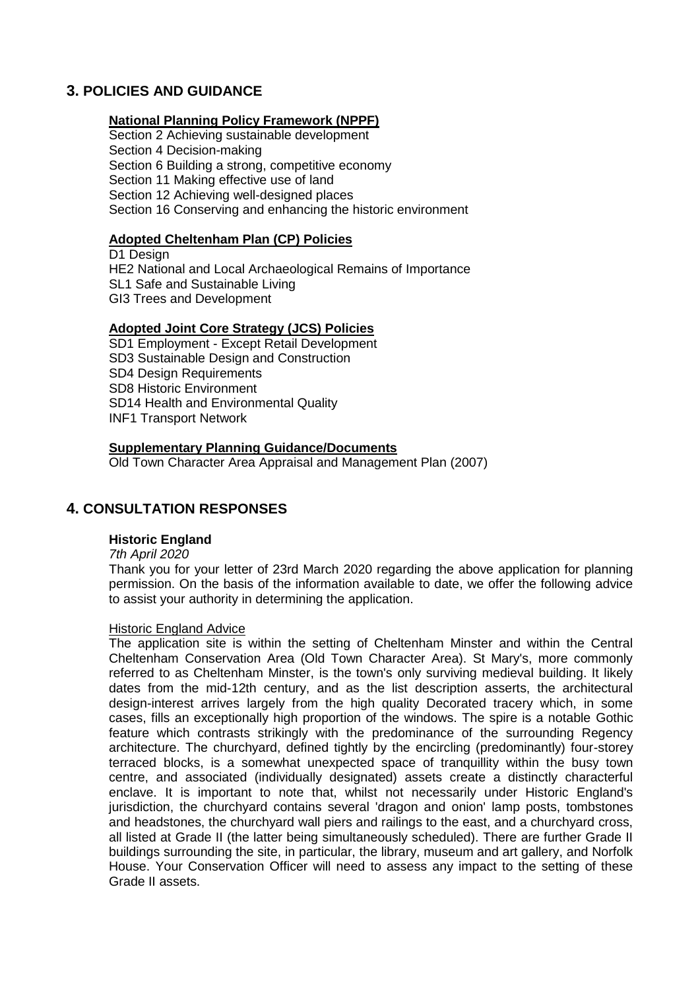## **3. POLICIES AND GUIDANCE**

#### **National Planning Policy Framework (NPPF)**

Section 2 Achieving sustainable development Section 4 Decision-making Section 6 Building a strong, competitive economy Section 11 Making effective use of land Section 12 Achieving well-designed places Section 16 Conserving and enhancing the historic environment

### **Adopted Cheltenham Plan (CP) Policies**

D1 Design HE2 National and Local Archaeological Remains of Importance SL1 Safe and Sustainable Living GI3 Trees and Development

### **Adopted Joint Core Strategy (JCS) Policies**

SD1 Employment - Except Retail Development SD3 Sustainable Design and Construction SD4 Design Requirements SD8 Historic Environment SD14 Health and Environmental Quality INF1 Transport Network

### **Supplementary Planning Guidance/Documents**

Old Town Character Area Appraisal and Management Plan (2007)

## **4. CONSULTATION RESPONSES**

## **Historic England**

#### *7th April 2020*

Thank you for your letter of 23rd March 2020 regarding the above application for planning permission. On the basis of the information available to date, we offer the following advice to assist your authority in determining the application.

#### Historic England Advice

The application site is within the setting of Cheltenham Minster and within the Central Cheltenham Conservation Area (Old Town Character Area). St Mary's, more commonly referred to as Cheltenham Minster, is the town's only surviving medieval building. It likely dates from the mid-12th century, and as the list description asserts, the architectural design-interest arrives largely from the high quality Decorated tracery which, in some cases, fills an exceptionally high proportion of the windows. The spire is a notable Gothic feature which contrasts strikingly with the predominance of the surrounding Regency architecture. The churchyard, defined tightly by the encircling (predominantly) four-storey terraced blocks, is a somewhat unexpected space of tranquillity within the busy town centre, and associated (individually designated) assets create a distinctly characterful enclave. It is important to note that, whilst not necessarily under Historic England's jurisdiction, the churchyard contains several 'dragon and onion' lamp posts, tombstones and headstones, the churchyard wall piers and railings to the east, and a churchyard cross, all listed at Grade II (the latter being simultaneously scheduled). There are further Grade II buildings surrounding the site, in particular, the library, museum and art gallery, and Norfolk House. Your Conservation Officer will need to assess any impact to the setting of these Grade II assets.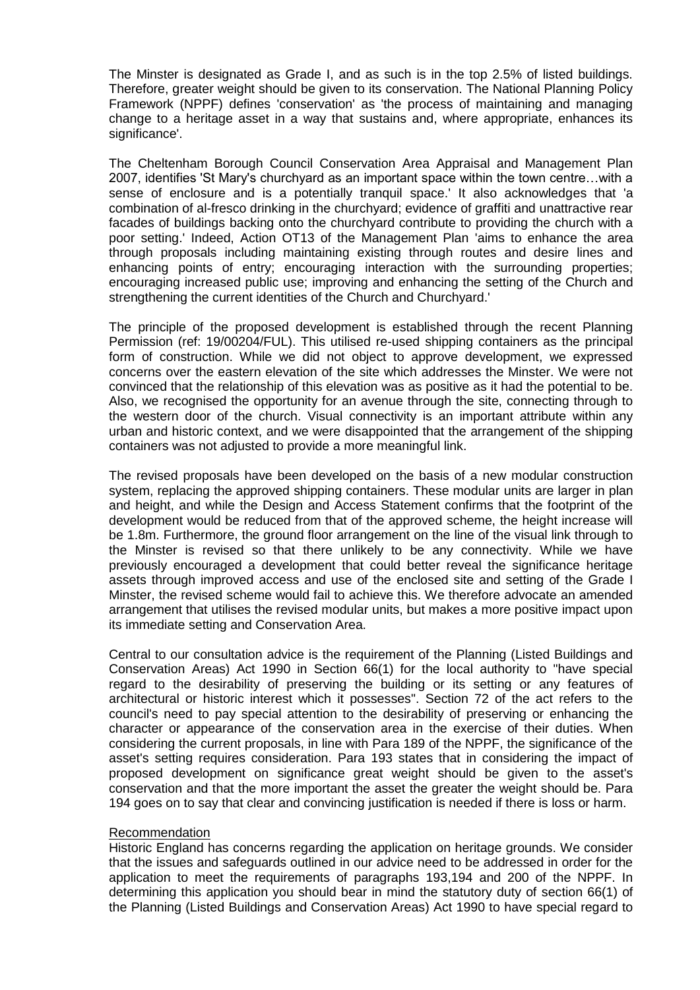The Minster is designated as Grade I, and as such is in the top 2.5% of listed buildings. Therefore, greater weight should be given to its conservation. The National Planning Policy Framework (NPPF) defines 'conservation' as 'the process of maintaining and managing change to a heritage asset in a way that sustains and, where appropriate, enhances its significance'.

The Cheltenham Borough Council Conservation Area Appraisal and Management Plan 2007, identifies 'St Mary's churchyard as an important space within the town centre…with a sense of enclosure and is a potentially tranquil space.' It also acknowledges that 'a combination of al-fresco drinking in the churchyard; evidence of graffiti and unattractive rear facades of buildings backing onto the churchyard contribute to providing the church with a poor setting.' Indeed, Action OT13 of the Management Plan 'aims to enhance the area through proposals including maintaining existing through routes and desire lines and enhancing points of entry; encouraging interaction with the surrounding properties; encouraging increased public use; improving and enhancing the setting of the Church and strengthening the current identities of the Church and Churchyard.'

The principle of the proposed development is established through the recent Planning Permission (ref: 19/00204/FUL). This utilised re-used shipping containers as the principal form of construction. While we did not object to approve development, we expressed concerns over the eastern elevation of the site which addresses the Minster. We were not convinced that the relationship of this elevation was as positive as it had the potential to be. Also, we recognised the opportunity for an avenue through the site, connecting through to the western door of the church. Visual connectivity is an important attribute within any urban and historic context, and we were disappointed that the arrangement of the shipping containers was not adjusted to provide a more meaningful link.

The revised proposals have been developed on the basis of a new modular construction system, replacing the approved shipping containers. These modular units are larger in plan and height, and while the Design and Access Statement confirms that the footprint of the development would be reduced from that of the approved scheme, the height increase will be 1.8m. Furthermore, the ground floor arrangement on the line of the visual link through to the Minster is revised so that there unlikely to be any connectivity. While we have previously encouraged a development that could better reveal the significance heritage assets through improved access and use of the enclosed site and setting of the Grade I Minster, the revised scheme would fail to achieve this. We therefore advocate an amended arrangement that utilises the revised modular units, but makes a more positive impact upon its immediate setting and Conservation Area.

Central to our consultation advice is the requirement of the Planning (Listed Buildings and Conservation Areas) Act 1990 in Section 66(1) for the local authority to "have special regard to the desirability of preserving the building or its setting or any features of architectural or historic interest which it possesses". Section 72 of the act refers to the council's need to pay special attention to the desirability of preserving or enhancing the character or appearance of the conservation area in the exercise of their duties. When considering the current proposals, in line with Para 189 of the NPPF, the significance of the asset's setting requires consideration. Para 193 states that in considering the impact of proposed development on significance great weight should be given to the asset's conservation and that the more important the asset the greater the weight should be. Para 194 goes on to say that clear and convincing justification is needed if there is loss or harm.

#### Recommendation

Historic England has concerns regarding the application on heritage grounds. We consider that the issues and safeguards outlined in our advice need to be addressed in order for the application to meet the requirements of paragraphs 193,194 and 200 of the NPPF. In determining this application you should bear in mind the statutory duty of section 66(1) of the Planning (Listed Buildings and Conservation Areas) Act 1990 to have special regard to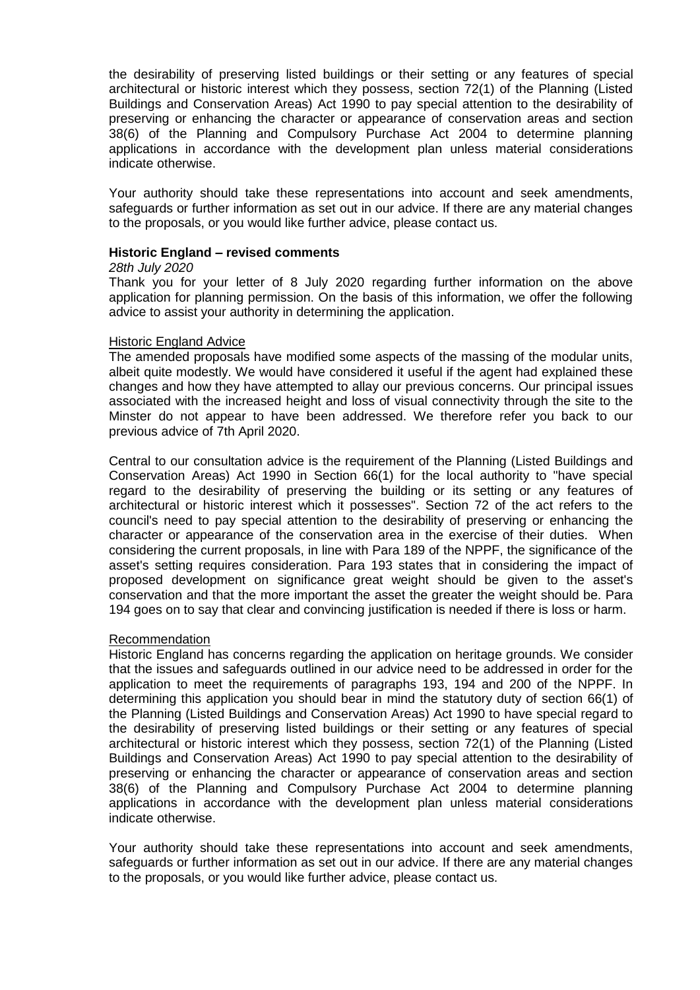the desirability of preserving listed buildings or their setting or any features of special architectural or historic interest which they possess, section 72(1) of the Planning (Listed Buildings and Conservation Areas) Act 1990 to pay special attention to the desirability of preserving or enhancing the character or appearance of conservation areas and section 38(6) of the Planning and Compulsory Purchase Act 2004 to determine planning applications in accordance with the development plan unless material considerations indicate otherwise.

Your authority should take these representations into account and seek amendments, safeguards or further information as set out in our advice. If there are any material changes to the proposals, or you would like further advice, please contact us.

### **Historic England – revised comments**

#### *28th July 2020*

Thank you for your letter of 8 July 2020 regarding further information on the above application for planning permission. On the basis of this information, we offer the following advice to assist your authority in determining the application.

#### Historic England Advice

The amended proposals have modified some aspects of the massing of the modular units, albeit quite modestly. We would have considered it useful if the agent had explained these changes and how they have attempted to allay our previous concerns. Our principal issues associated with the increased height and loss of visual connectivity through the site to the Minster do not appear to have been addressed. We therefore refer you back to our previous advice of 7th April 2020.

Central to our consultation advice is the requirement of the Planning (Listed Buildings and Conservation Areas) Act 1990 in Section 66(1) for the local authority to "have special regard to the desirability of preserving the building or its setting or any features of architectural or historic interest which it possesses". Section 72 of the act refers to the council's need to pay special attention to the desirability of preserving or enhancing the character or appearance of the conservation area in the exercise of their duties. When considering the current proposals, in line with Para 189 of the NPPF, the significance of the asset's setting requires consideration. Para 193 states that in considering the impact of proposed development on significance great weight should be given to the asset's conservation and that the more important the asset the greater the weight should be. Para 194 goes on to say that clear and convincing justification is needed if there is loss or harm.

#### Recommendation

Historic England has concerns regarding the application on heritage grounds. We consider that the issues and safeguards outlined in our advice need to be addressed in order for the application to meet the requirements of paragraphs 193, 194 and 200 of the NPPF. In determining this application you should bear in mind the statutory duty of section 66(1) of the Planning (Listed Buildings and Conservation Areas) Act 1990 to have special regard to the desirability of preserving listed buildings or their setting or any features of special architectural or historic interest which they possess, section 72(1) of the Planning (Listed Buildings and Conservation Areas) Act 1990 to pay special attention to the desirability of preserving or enhancing the character or appearance of conservation areas and section 38(6) of the Planning and Compulsory Purchase Act 2004 to determine planning applications in accordance with the development plan unless material considerations indicate otherwise.

Your authority should take these representations into account and seek amendments, safeguards or further information as set out in our advice. If there are any material changes to the proposals, or you would like further advice, please contact us.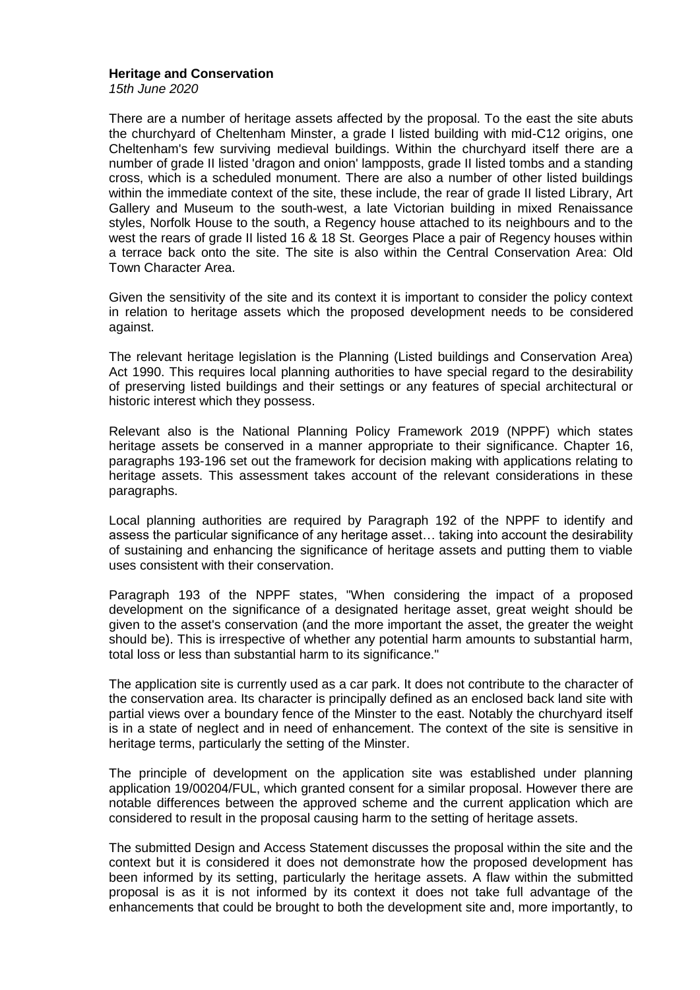#### **Heritage and Conservation**

*15th June 2020*

There are a number of heritage assets affected by the proposal. To the east the site abuts the churchyard of Cheltenham Minster, a grade I listed building with mid-C12 origins, one Cheltenham's few surviving medieval buildings. Within the churchyard itself there are a number of grade II listed 'dragon and onion' lampposts, grade II listed tombs and a standing cross, which is a scheduled monument. There are also a number of other listed buildings within the immediate context of the site, these include, the rear of grade II listed Library, Art Gallery and Museum to the south-west, a late Victorian building in mixed Renaissance styles, Norfolk House to the south, a Regency house attached to its neighbours and to the west the rears of grade II listed 16 & 18 St. Georges Place a pair of Regency houses within a terrace back onto the site. The site is also within the Central Conservation Area: Old Town Character Area.

Given the sensitivity of the site and its context it is important to consider the policy context in relation to heritage assets which the proposed development needs to be considered against.

The relevant heritage legislation is the Planning (Listed buildings and Conservation Area) Act 1990. This requires local planning authorities to have special regard to the desirability of preserving listed buildings and their settings or any features of special architectural or historic interest which they possess.

Relevant also is the National Planning Policy Framework 2019 (NPPF) which states heritage assets be conserved in a manner appropriate to their significance. Chapter 16, paragraphs 193-196 set out the framework for decision making with applications relating to heritage assets. This assessment takes account of the relevant considerations in these paragraphs.

Local planning authorities are required by Paragraph 192 of the NPPF to identify and assess the particular significance of any heritage asset… taking into account the desirability of sustaining and enhancing the significance of heritage assets and putting them to viable uses consistent with their conservation.

Paragraph 193 of the NPPF states, "When considering the impact of a proposed development on the significance of a designated heritage asset, great weight should be given to the asset's conservation (and the more important the asset, the greater the weight should be). This is irrespective of whether any potential harm amounts to substantial harm, total loss or less than substantial harm to its significance."

The application site is currently used as a car park. It does not contribute to the character of the conservation area. Its character is principally defined as an enclosed back land site with partial views over a boundary fence of the Minster to the east. Notably the churchyard itself is in a state of neglect and in need of enhancement. The context of the site is sensitive in heritage terms, particularly the setting of the Minster.

The principle of development on the application site was established under planning application 19/00204/FUL, which granted consent for a similar proposal. However there are notable differences between the approved scheme and the current application which are considered to result in the proposal causing harm to the setting of heritage assets.

The submitted Design and Access Statement discusses the proposal within the site and the context but it is considered it does not demonstrate how the proposed development has been informed by its setting, particularly the heritage assets. A flaw within the submitted proposal is as it is not informed by its context it does not take full advantage of the enhancements that could be brought to both the development site and, more importantly, to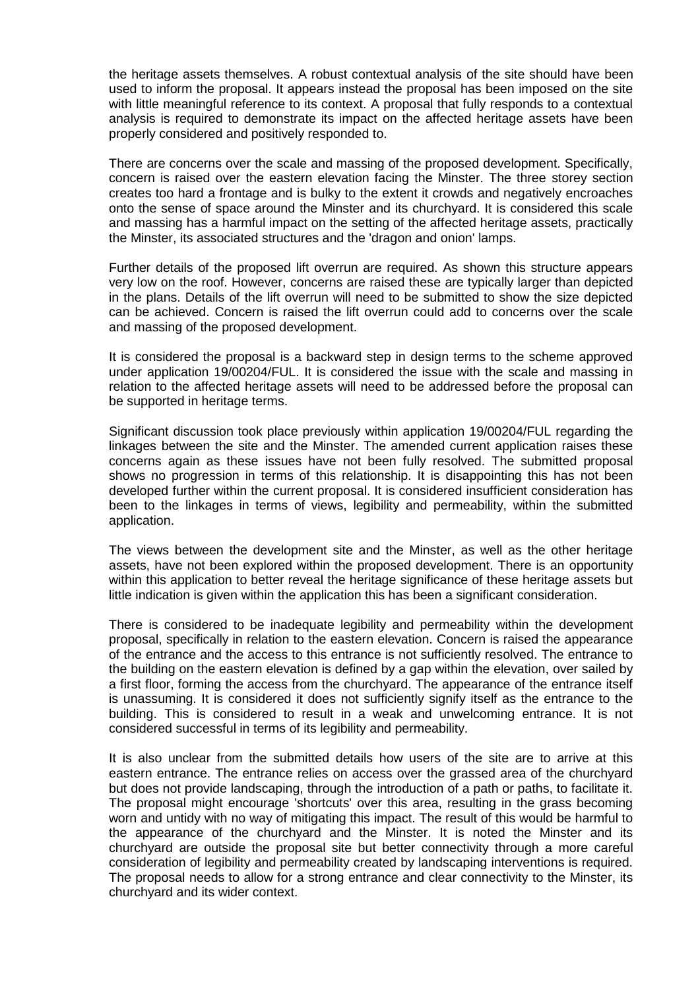the heritage assets themselves. A robust contextual analysis of the site should have been used to inform the proposal. It appears instead the proposal has been imposed on the site with little meaningful reference to its context. A proposal that fully responds to a contextual analysis is required to demonstrate its impact on the affected heritage assets have been properly considered and positively responded to.

There are concerns over the scale and massing of the proposed development. Specifically, concern is raised over the eastern elevation facing the Minster. The three storey section creates too hard a frontage and is bulky to the extent it crowds and negatively encroaches onto the sense of space around the Minster and its churchyard. It is considered this scale and massing has a harmful impact on the setting of the affected heritage assets, practically the Minster, its associated structures and the 'dragon and onion' lamps.

Further details of the proposed lift overrun are required. As shown this structure appears very low on the roof. However, concerns are raised these are typically larger than depicted in the plans. Details of the lift overrun will need to be submitted to show the size depicted can be achieved. Concern is raised the lift overrun could add to concerns over the scale and massing of the proposed development.

It is considered the proposal is a backward step in design terms to the scheme approved under application 19/00204/FUL. It is considered the issue with the scale and massing in relation to the affected heritage assets will need to be addressed before the proposal can be supported in heritage terms.

Significant discussion took place previously within application 19/00204/FUL regarding the linkages between the site and the Minster. The amended current application raises these concerns again as these issues have not been fully resolved. The submitted proposal shows no progression in terms of this relationship. It is disappointing this has not been developed further within the current proposal. It is considered insufficient consideration has been to the linkages in terms of views, legibility and permeability, within the submitted application.

The views between the development site and the Minster, as well as the other heritage assets, have not been explored within the proposed development. There is an opportunity within this application to better reveal the heritage significance of these heritage assets but little indication is given within the application this has been a significant consideration.

There is considered to be inadequate legibility and permeability within the development proposal, specifically in relation to the eastern elevation. Concern is raised the appearance of the entrance and the access to this entrance is not sufficiently resolved. The entrance to the building on the eastern elevation is defined by a gap within the elevation, over sailed by a first floor, forming the access from the churchyard. The appearance of the entrance itself is unassuming. It is considered it does not sufficiently signify itself as the entrance to the building. This is considered to result in a weak and unwelcoming entrance. It is not considered successful in terms of its legibility and permeability.

It is also unclear from the submitted details how users of the site are to arrive at this eastern entrance. The entrance relies on access over the grassed area of the churchyard but does not provide landscaping, through the introduction of a path or paths, to facilitate it. The proposal might encourage 'shortcuts' over this area, resulting in the grass becoming worn and untidy with no way of mitigating this impact. The result of this would be harmful to the appearance of the churchyard and the Minster. It is noted the Minster and its churchyard are outside the proposal site but better connectivity through a more careful consideration of legibility and permeability created by landscaping interventions is required. The proposal needs to allow for a strong entrance and clear connectivity to the Minster, its churchyard and its wider context.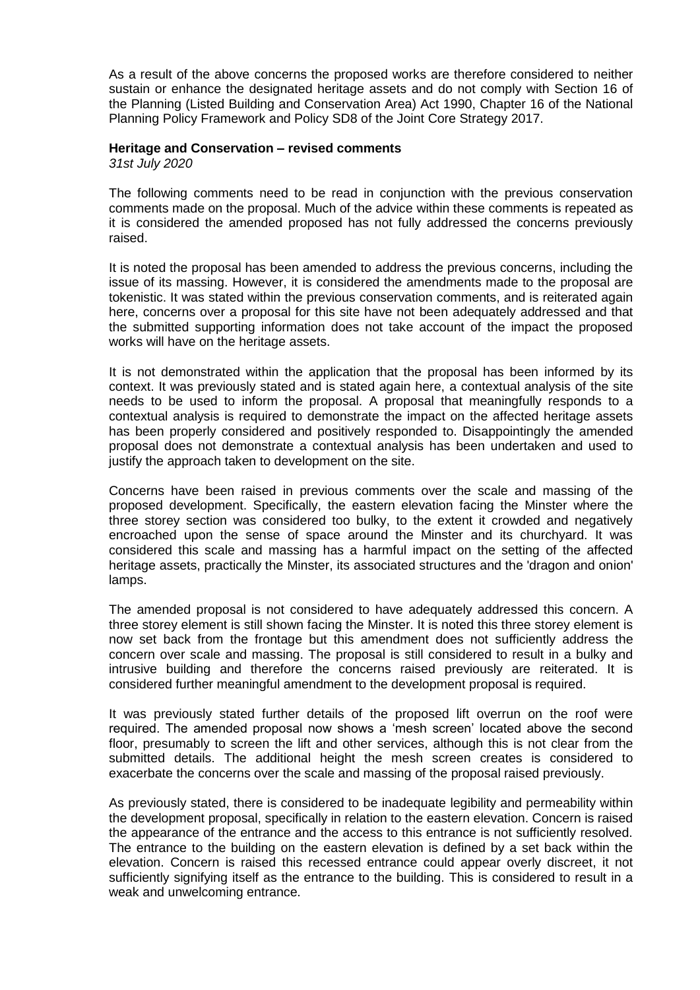As a result of the above concerns the proposed works are therefore considered to neither sustain or enhance the designated heritage assets and do not comply with Section 16 of the Planning (Listed Building and Conservation Area) Act 1990, Chapter 16 of the National Planning Policy Framework and Policy SD8 of the Joint Core Strategy 2017.

#### **Heritage and Conservation – revised comments**

*31st July 2020*

The following comments need to be read in conjunction with the previous conservation comments made on the proposal. Much of the advice within these comments is repeated as it is considered the amended proposed has not fully addressed the concerns previously raised.

It is noted the proposal has been amended to address the previous concerns, including the issue of its massing. However, it is considered the amendments made to the proposal are tokenistic. It was stated within the previous conservation comments, and is reiterated again here, concerns over a proposal for this site have not been adequately addressed and that the submitted supporting information does not take account of the impact the proposed works will have on the heritage assets.

It is not demonstrated within the application that the proposal has been informed by its context. It was previously stated and is stated again here, a contextual analysis of the site needs to be used to inform the proposal. A proposal that meaningfully responds to a contextual analysis is required to demonstrate the impact on the affected heritage assets has been properly considered and positively responded to. Disappointingly the amended proposal does not demonstrate a contextual analysis has been undertaken and used to justify the approach taken to development on the site.

Concerns have been raised in previous comments over the scale and massing of the proposed development. Specifically, the eastern elevation facing the Minster where the three storey section was considered too bulky, to the extent it crowded and negatively encroached upon the sense of space around the Minster and its churchyard. It was considered this scale and massing has a harmful impact on the setting of the affected heritage assets, practically the Minster, its associated structures and the 'dragon and onion' lamps.

The amended proposal is not considered to have adequately addressed this concern. A three storey element is still shown facing the Minster. It is noted this three storey element is now set back from the frontage but this amendment does not sufficiently address the concern over scale and massing. The proposal is still considered to result in a bulky and intrusive building and therefore the concerns raised previously are reiterated. It is considered further meaningful amendment to the development proposal is required.

It was previously stated further details of the proposed lift overrun on the roof were required. The amended proposal now shows a 'mesh screen' located above the second floor, presumably to screen the lift and other services, although this is not clear from the submitted details. The additional height the mesh screen creates is considered to exacerbate the concerns over the scale and massing of the proposal raised previously.

As previously stated, there is considered to be inadequate legibility and permeability within the development proposal, specifically in relation to the eastern elevation. Concern is raised the appearance of the entrance and the access to this entrance is not sufficiently resolved. The entrance to the building on the eastern elevation is defined by a set back within the elevation. Concern is raised this recessed entrance could appear overly discreet, it not sufficiently signifying itself as the entrance to the building. This is considered to result in a weak and unwelcoming entrance.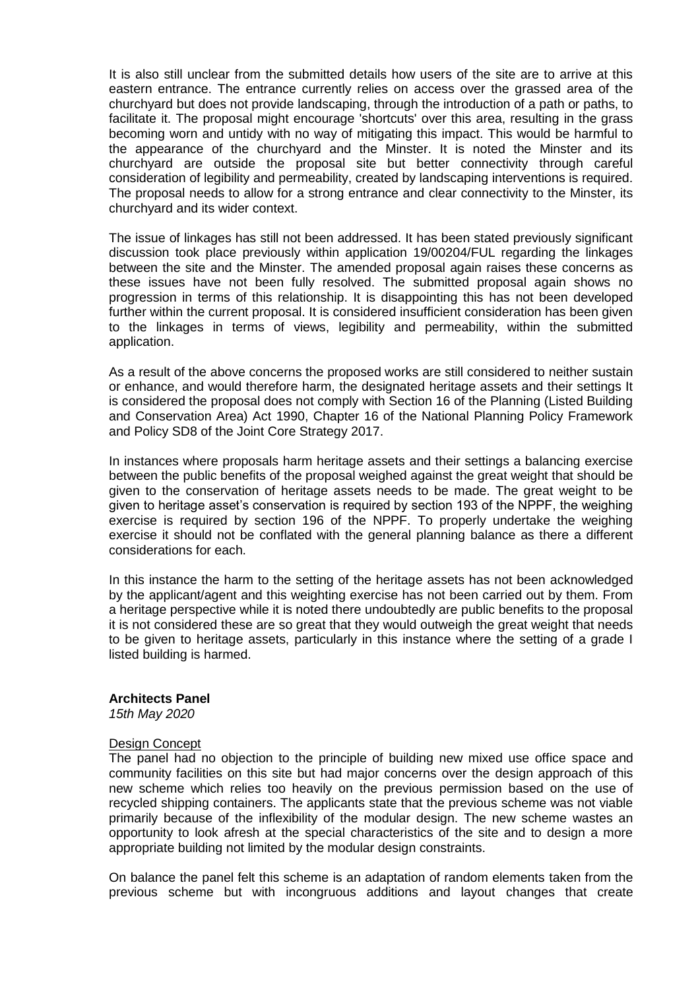It is also still unclear from the submitted details how users of the site are to arrive at this eastern entrance. The entrance currently relies on access over the grassed area of the churchyard but does not provide landscaping, through the introduction of a path or paths, to facilitate it. The proposal might encourage 'shortcuts' over this area, resulting in the grass becoming worn and untidy with no way of mitigating this impact. This would be harmful to the appearance of the churchyard and the Minster. It is noted the Minster and its churchyard are outside the proposal site but better connectivity through careful consideration of legibility and permeability, created by landscaping interventions is required. The proposal needs to allow for a strong entrance and clear connectivity to the Minster, its churchyard and its wider context.

The issue of linkages has still not been addressed. It has been stated previously significant discussion took place previously within application 19/00204/FUL regarding the linkages between the site and the Minster. The amended proposal again raises these concerns as these issues have not been fully resolved. The submitted proposal again shows no progression in terms of this relationship. It is disappointing this has not been developed further within the current proposal. It is considered insufficient consideration has been given to the linkages in terms of views, legibility and permeability, within the submitted application.

As a result of the above concerns the proposed works are still considered to neither sustain or enhance, and would therefore harm, the designated heritage assets and their settings It is considered the proposal does not comply with Section 16 of the Planning (Listed Building and Conservation Area) Act 1990, Chapter 16 of the National Planning Policy Framework and Policy SD8 of the Joint Core Strategy 2017.

In instances where proposals harm heritage assets and their settings a balancing exercise between the public benefits of the proposal weighed against the great weight that should be given to the conservation of heritage assets needs to be made. The great weight to be given to heritage asset's conservation is required by section 193 of the NPPF, the weighing exercise is required by section 196 of the NPPF. To properly undertake the weighing exercise it should not be conflated with the general planning balance as there a different considerations for each.

In this instance the harm to the setting of the heritage assets has not been acknowledged by the applicant/agent and this weighting exercise has not been carried out by them. From a heritage perspective while it is noted there undoubtedly are public benefits to the proposal it is not considered these are so great that they would outweigh the great weight that needs to be given to heritage assets, particularly in this instance where the setting of a grade I listed building is harmed.

#### **Architects Panel**

*15th May 2020*

#### Design Concept

The panel had no objection to the principle of building new mixed use office space and community facilities on this site but had major concerns over the design approach of this new scheme which relies too heavily on the previous permission based on the use of recycled shipping containers. The applicants state that the previous scheme was not viable primarily because of the inflexibility of the modular design. The new scheme wastes an opportunity to look afresh at the special characteristics of the site and to design a more appropriate building not limited by the modular design constraints.

On balance the panel felt this scheme is an adaptation of random elements taken from the previous scheme but with incongruous additions and layout changes that create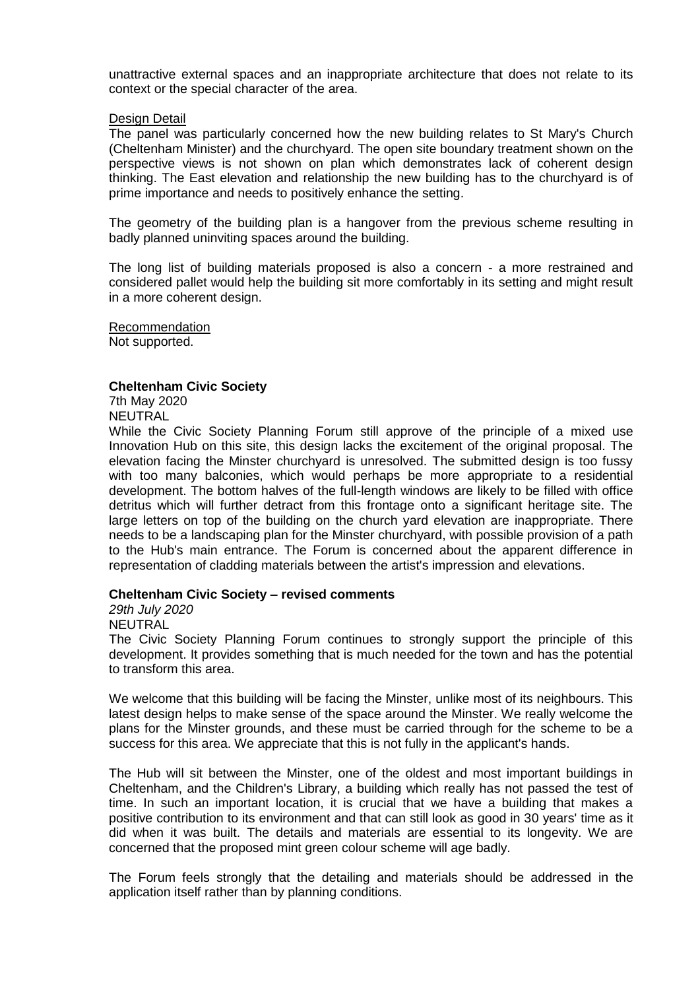unattractive external spaces and an inappropriate architecture that does not relate to its context or the special character of the area.

#### Design Detail

The panel was particularly concerned how the new building relates to St Mary's Church (Cheltenham Minister) and the churchyard. The open site boundary treatment shown on the perspective views is not shown on plan which demonstrates lack of coherent design thinking. The East elevation and relationship the new building has to the churchyard is of prime importance and needs to positively enhance the setting.

The geometry of the building plan is a hangover from the previous scheme resulting in badly planned uninviting spaces around the building.

The long list of building materials proposed is also a concern - a more restrained and considered pallet would help the building sit more comfortably in its setting and might result in a more coherent design.

Recommendation Not supported.

#### **Cheltenham Civic Society**

7th May 2020 NEUTRAL

While the Civic Society Planning Forum still approve of the principle of a mixed use Innovation Hub on this site, this design lacks the excitement of the original proposal. The elevation facing the Minster churchyard is unresolved. The submitted design is too fussy with too many balconies, which would perhaps be more appropriate to a residential development. The bottom halves of the full-length windows are likely to be filled with office detritus which will further detract from this frontage onto a significant heritage site. The large letters on top of the building on the church yard elevation are inappropriate. There needs to be a landscaping plan for the Minster churchyard, with possible provision of a path to the Hub's main entrance. The Forum is concerned about the apparent difference in representation of cladding materials between the artist's impression and elevations.

#### **Cheltenham Civic Society – revised comments**

*29th July 2020*

NEUTRAL

The Civic Society Planning Forum continues to strongly support the principle of this development. It provides something that is much needed for the town and has the potential to transform this area.

We welcome that this building will be facing the Minster, unlike most of its neighbours. This latest design helps to make sense of the space around the Minster. We really welcome the plans for the Minster grounds, and these must be carried through for the scheme to be a success for this area. We appreciate that this is not fully in the applicant's hands.

The Hub will sit between the Minster, one of the oldest and most important buildings in Cheltenham, and the Children's Library, a building which really has not passed the test of time. In such an important location, it is crucial that we have a building that makes a positive contribution to its environment and that can still look as good in 30 years' time as it did when it was built. The details and materials are essential to its longevity. We are concerned that the proposed mint green colour scheme will age badly.

The Forum feels strongly that the detailing and materials should be addressed in the application itself rather than by planning conditions.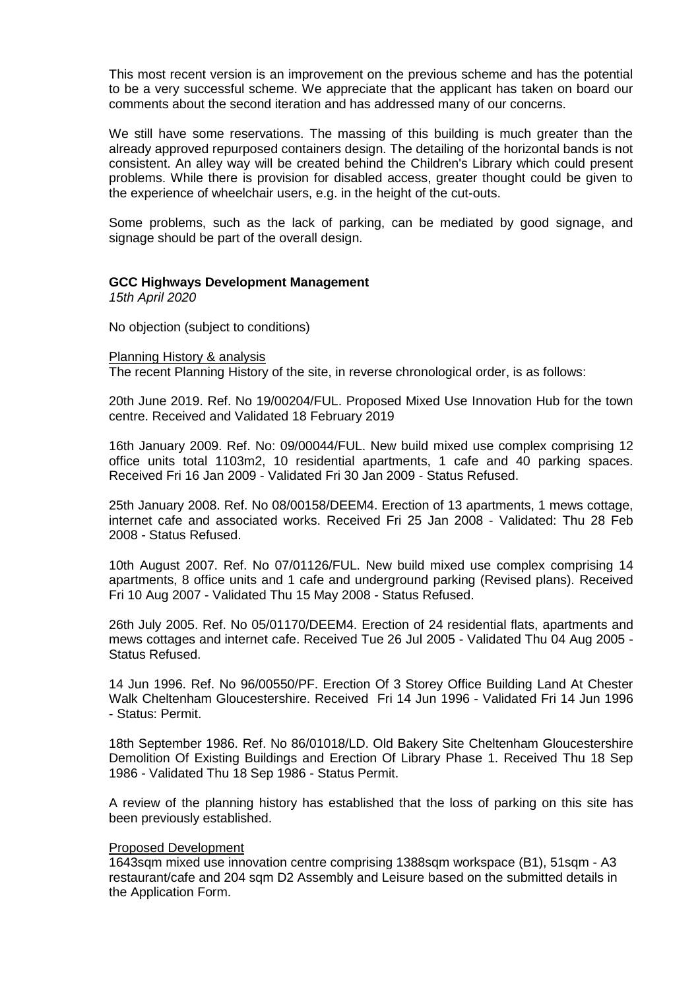This most recent version is an improvement on the previous scheme and has the potential to be a very successful scheme. We appreciate that the applicant has taken on board our comments about the second iteration and has addressed many of our concerns.

We still have some reservations. The massing of this building is much greater than the already approved repurposed containers design. The detailing of the horizontal bands is not consistent. An alley way will be created behind the Children's Library which could present problems. While there is provision for disabled access, greater thought could be given to the experience of wheelchair users, e.g. in the height of the cut-outs.

Some problems, such as the lack of parking, can be mediated by good signage, and signage should be part of the overall design.

#### **GCC Highways Development Management**

*15th April 2020*

No objection (subject to conditions)

#### Planning History & analysis

The recent Planning History of the site, in reverse chronological order, is as follows:

20th June 2019. Ref. No 19/00204/FUL. Proposed Mixed Use Innovation Hub for the town centre. Received and Validated 18 February 2019

16th January 2009. Ref. No: 09/00044/FUL. New build mixed use complex comprising 12 office units total 1103m2, 10 residential apartments, 1 cafe and 40 parking spaces. Received Fri 16 Jan 2009 - Validated Fri 30 Jan 2009 - Status Refused.

25th January 2008. Ref. No 08/00158/DEEM4. Erection of 13 apartments, 1 mews cottage, internet cafe and associated works. Received Fri 25 Jan 2008 - Validated: Thu 28 Feb 2008 - Status Refused.

10th August 2007. Ref. No 07/01126/FUL. New build mixed use complex comprising 14 apartments, 8 office units and 1 cafe and underground parking (Revised plans). Received Fri 10 Aug 2007 - Validated Thu 15 May 2008 - Status Refused.

26th July 2005. Ref. No 05/01170/DEEM4. Erection of 24 residential flats, apartments and mews cottages and internet cafe. Received Tue 26 Jul 2005 - Validated Thu 04 Aug 2005 - Status Refused.

14 Jun 1996. Ref. No 96/00550/PF. Erection Of 3 Storey Office Building Land At Chester Walk Cheltenham Gloucestershire. Received Fri 14 Jun 1996 - Validated Fri 14 Jun 1996 - Status: Permit.

18th September 1986. Ref. No 86/01018/LD. Old Bakery Site Cheltenham Gloucestershire Demolition Of Existing Buildings and Erection Of Library Phase 1. Received Thu 18 Sep 1986 - Validated Thu 18 Sep 1986 - Status Permit.

A review of the planning history has established that the loss of parking on this site has been previously established.

#### Proposed Development

1643sqm mixed use innovation centre comprising 1388sqm workspace (B1), 51sqm - A3 restaurant/cafe and 204 sqm D2 Assembly and Leisure based on the submitted details in the Application Form.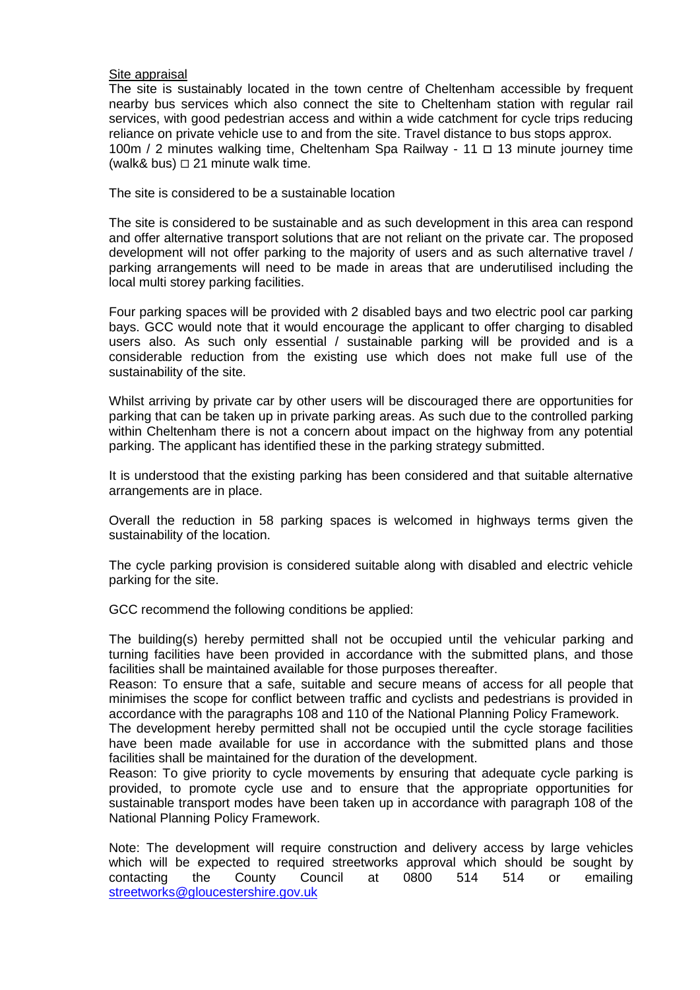#### Site appraisal

The site is sustainably located in the town centre of Cheltenham accessible by frequent nearby bus services which also connect the site to Cheltenham station with regular rail services, with good pedestrian access and within a wide catchment for cycle trips reducing reliance on private vehicle use to and from the site. Travel distance to bus stops approx. 100m / 2 minutes walking time, Cheltenham Spa Railway - 11  $\Box$  13 minute journey time (walk& bus)  $\Box$  21 minute walk time.

The site is considered to be a sustainable location

The site is considered to be sustainable and as such development in this area can respond and offer alternative transport solutions that are not reliant on the private car. The proposed development will not offer parking to the majority of users and as such alternative travel / parking arrangements will need to be made in areas that are underutilised including the local multi storey parking facilities.

Four parking spaces will be provided with 2 disabled bays and two electric pool car parking bays. GCC would note that it would encourage the applicant to offer charging to disabled users also. As such only essential / sustainable parking will be provided and is a considerable reduction from the existing use which does not make full use of the sustainability of the site.

Whilst arriving by private car by other users will be discouraged there are opportunities for parking that can be taken up in private parking areas. As such due to the controlled parking within Cheltenham there is not a concern about impact on the highway from any potential parking. The applicant has identified these in the parking strategy submitted.

It is understood that the existing parking has been considered and that suitable alternative arrangements are in place.

Overall the reduction in 58 parking spaces is welcomed in highways terms given the sustainability of the location.

The cycle parking provision is considered suitable along with disabled and electric vehicle parking for the site.

GCC recommend the following conditions be applied:

The building(s) hereby permitted shall not be occupied until the vehicular parking and turning facilities have been provided in accordance with the submitted plans, and those facilities shall be maintained available for those purposes thereafter.

Reason: To ensure that a safe, suitable and secure means of access for all people that minimises the scope for conflict between traffic and cyclists and pedestrians is provided in accordance with the paragraphs 108 and 110 of the National Planning Policy Framework.

The development hereby permitted shall not be occupied until the cycle storage facilities have been made available for use in accordance with the submitted plans and those facilities shall be maintained for the duration of the development.

Reason: To give priority to cycle movements by ensuring that adequate cycle parking is provided, to promote cycle use and to ensure that the appropriate opportunities for sustainable transport modes have been taken up in accordance with paragraph 108 of the National Planning Policy Framework.

Note: The development will require construction and delivery access by large vehicles which will be expected to required streetworks approval which should be sought by contacting the County Council at 0800 514 514 or emailing [streetworks@gloucestershire.gov.uk](mailto:streetworks@gloucestershire.gov.uk)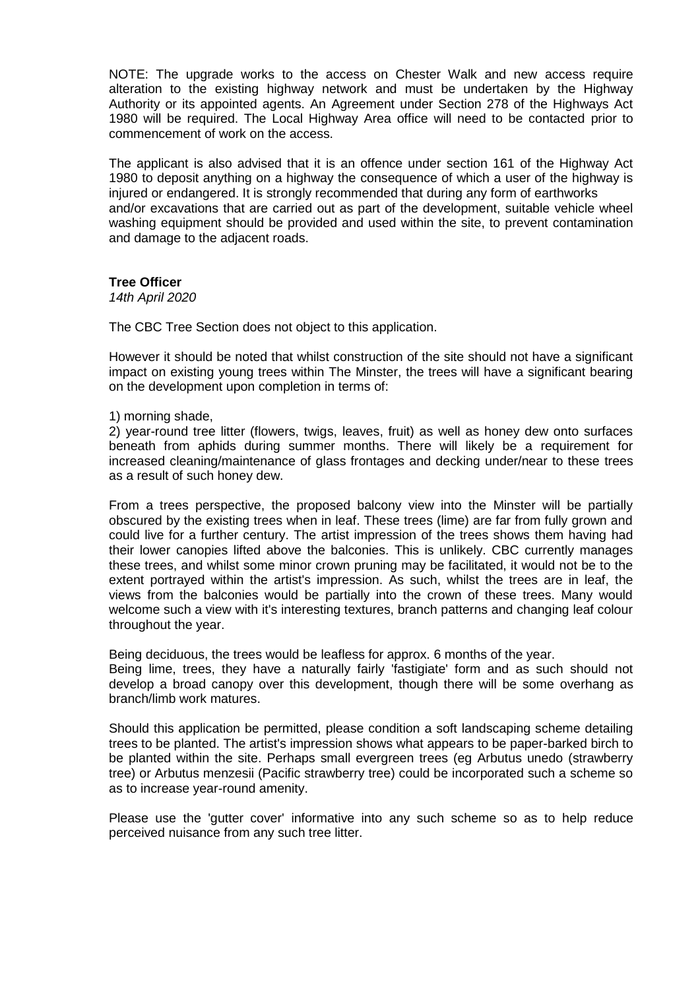NOTE: The upgrade works to the access on Chester Walk and new access require alteration to the existing highway network and must be undertaken by the Highway Authority or its appointed agents. An Agreement under Section 278 of the Highways Act 1980 will be required. The Local Highway Area office will need to be contacted prior to commencement of work on the access.

The applicant is also advised that it is an offence under section 161 of the Highway Act 1980 to deposit anything on a highway the consequence of which a user of the highway is injured or endangered. It is strongly recommended that during any form of earthworks and/or excavations that are carried out as part of the development, suitable vehicle wheel washing equipment should be provided and used within the site, to prevent contamination and damage to the adjacent roads.

### **Tree Officer**

*14th April 2020*

The CBC Tree Section does not object to this application.

However it should be noted that whilst construction of the site should not have a significant impact on existing young trees within The Minster, the trees will have a significant bearing on the development upon completion in terms of:

1) morning shade,

2) year-round tree litter (flowers, twigs, leaves, fruit) as well as honey dew onto surfaces beneath from aphids during summer months. There will likely be a requirement for increased cleaning/maintenance of glass frontages and decking under/near to these trees as a result of such honey dew.

From a trees perspective, the proposed balcony view into the Minster will be partially obscured by the existing trees when in leaf. These trees (lime) are far from fully grown and could live for a further century. The artist impression of the trees shows them having had their lower canopies lifted above the balconies. This is unlikely. CBC currently manages these trees, and whilst some minor crown pruning may be facilitated, it would not be to the extent portrayed within the artist's impression. As such, whilst the trees are in leaf, the views from the balconies would be partially into the crown of these trees. Many would welcome such a view with it's interesting textures, branch patterns and changing leaf colour throughout the year.

Being deciduous, the trees would be leafless for approx. 6 months of the year.

Being lime, trees, they have a naturally fairly 'fastigiate' form and as such should not develop a broad canopy over this development, though there will be some overhang as branch/limb work matures.

Should this application be permitted, please condition a soft landscaping scheme detailing trees to be planted. The artist's impression shows what appears to be paper-barked birch to be planted within the site. Perhaps small evergreen trees (eg Arbutus unedo (strawberry tree) or Arbutus menzesii (Pacific strawberry tree) could be incorporated such a scheme so as to increase year-round amenity.

Please use the 'gutter cover' informative into any such scheme so as to help reduce perceived nuisance from any such tree litter.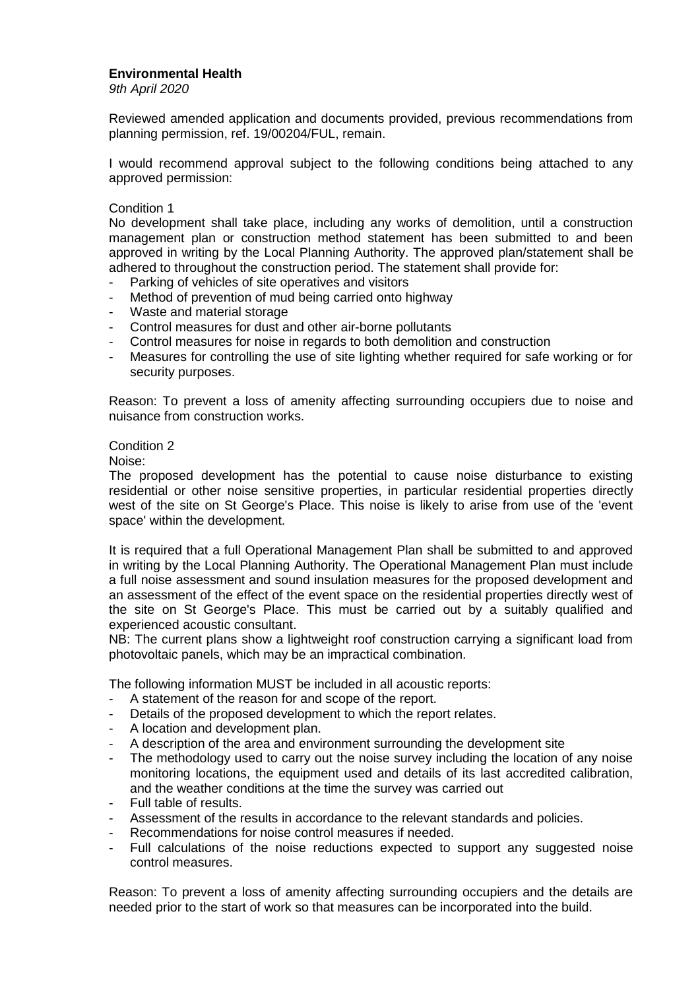### **Environmental Health**

*9th April 2020*

Reviewed amended application and documents provided, previous recommendations from planning permission, ref. 19/00204/FUL, remain.

I would recommend approval subject to the following conditions being attached to any approved permission:

#### Condition 1

No development shall take place, including any works of demolition, until a construction management plan or construction method statement has been submitted to and been approved in writing by the Local Planning Authority. The approved plan/statement shall be adhered to throughout the construction period. The statement shall provide for:

- Parking of vehicles of site operatives and visitors
- Method of prevention of mud being carried onto highway
- Waste and material storage
- Control measures for dust and other air-borne pollutants
- Control measures for noise in regards to both demolition and construction
- Measures for controlling the use of site lighting whether required for safe working or for security purposes.

Reason: To prevent a loss of amenity affecting surrounding occupiers due to noise and nuisance from construction works.

#### Condition 2

Noise:

The proposed development has the potential to cause noise disturbance to existing residential or other noise sensitive properties, in particular residential properties directly west of the site on St George's Place. This noise is likely to arise from use of the 'event space' within the development.

It is required that a full Operational Management Plan shall be submitted to and approved in writing by the Local Planning Authority. The Operational Management Plan must include a full noise assessment and sound insulation measures for the proposed development and an assessment of the effect of the event space on the residential properties directly west of the site on St George's Place. This must be carried out by a suitably qualified and experienced acoustic consultant.

NB: The current plans show a lightweight roof construction carrying a significant load from photovoltaic panels, which may be an impractical combination.

The following information MUST be included in all acoustic reports:

- A statement of the reason for and scope of the report.
- Details of the proposed development to which the report relates.
- A location and development plan.
- A description of the area and environment surrounding the development site
- The methodology used to carry out the noise survey including the location of any noise monitoring locations, the equipment used and details of its last accredited calibration, and the weather conditions at the time the survey was carried out
- Full table of results.
- Assessment of the results in accordance to the relevant standards and policies.
- Recommendations for noise control measures if needed.
- Full calculations of the noise reductions expected to support any suggested noise control measures.

Reason: To prevent a loss of amenity affecting surrounding occupiers and the details are needed prior to the start of work so that measures can be incorporated into the build.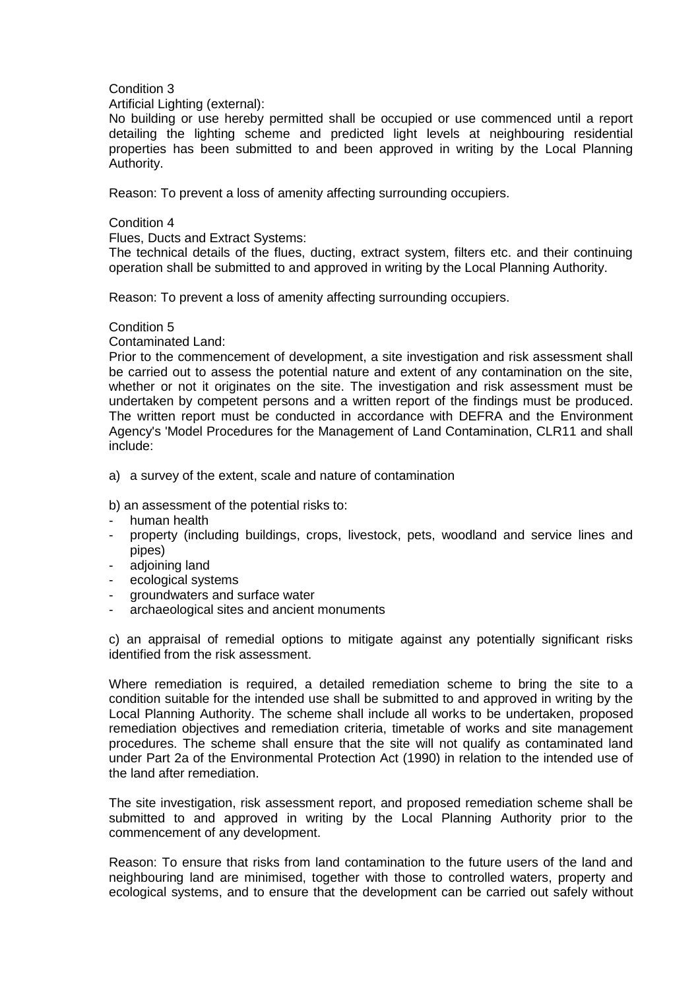### Condition 3

#### Artificial Lighting (external):

No building or use hereby permitted shall be occupied or use commenced until a report detailing the lighting scheme and predicted light levels at neighbouring residential properties has been submitted to and been approved in writing by the Local Planning Authority.

Reason: To prevent a loss of amenity affecting surrounding occupiers.

### Condition 4

Flues, Ducts and Extract Systems:

The technical details of the flues, ducting, extract system, filters etc. and their continuing operation shall be submitted to and approved in writing by the Local Planning Authority.

Reason: To prevent a loss of amenity affecting surrounding occupiers.

### Condition 5

Contaminated Land:

Prior to the commencement of development, a site investigation and risk assessment shall be carried out to assess the potential nature and extent of any contamination on the site, whether or not it originates on the site. The investigation and risk assessment must be undertaken by competent persons and a written report of the findings must be produced. The written report must be conducted in accordance with DEFRA and the Environment Agency's 'Model Procedures for the Management of Land Contamination, CLR11 and shall include:

a) a survey of the extent, scale and nature of contamination

b) an assessment of the potential risks to:

- human health
- property (including buildings, crops, livestock, pets, woodland and service lines and pipes)
- adjoining land
- ecological systems
- groundwaters and surface water
- archaeological sites and ancient monuments

c) an appraisal of remedial options to mitigate against any potentially significant risks identified from the risk assessment.

Where remediation is required, a detailed remediation scheme to bring the site to a condition suitable for the intended use shall be submitted to and approved in writing by the Local Planning Authority. The scheme shall include all works to be undertaken, proposed remediation objectives and remediation criteria, timetable of works and site management procedures. The scheme shall ensure that the site will not qualify as contaminated land under Part 2a of the Environmental Protection Act (1990) in relation to the intended use of the land after remediation.

The site investigation, risk assessment report, and proposed remediation scheme shall be submitted to and approved in writing by the Local Planning Authority prior to the commencement of any development.

Reason: To ensure that risks from land contamination to the future users of the land and neighbouring land are minimised, together with those to controlled waters, property and ecological systems, and to ensure that the development can be carried out safely without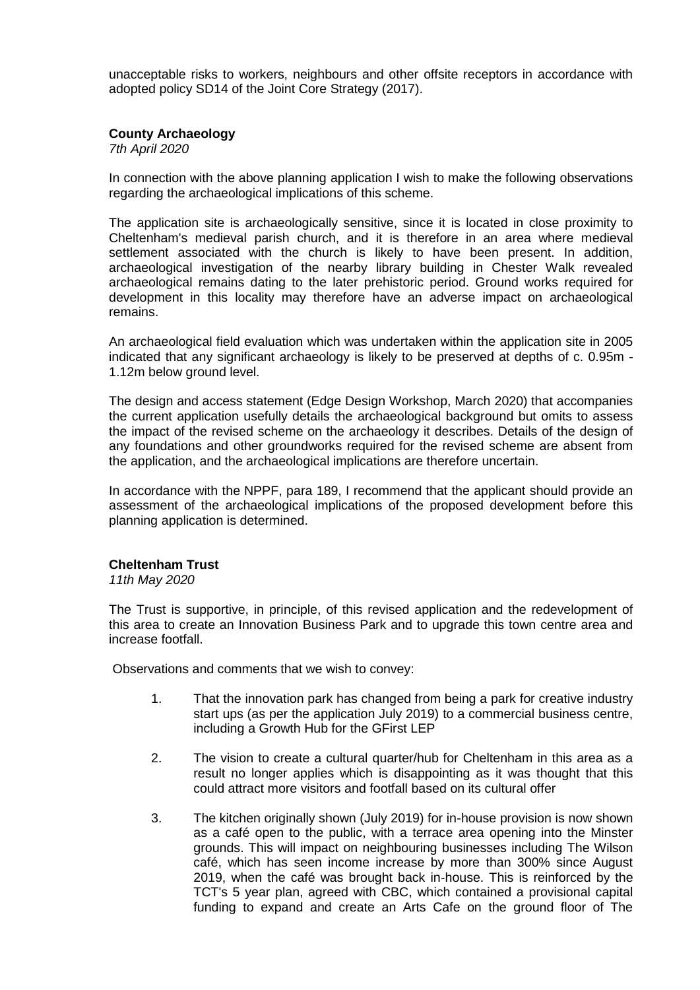unacceptable risks to workers, neighbours and other offsite receptors in accordance with adopted policy SD14 of the Joint Core Strategy (2017).

### **County Archaeology**

*7th April 2020*

In connection with the above planning application I wish to make the following observations regarding the archaeological implications of this scheme.

The application site is archaeologically sensitive, since it is located in close proximity to Cheltenham's medieval parish church, and it is therefore in an area where medieval settlement associated with the church is likely to have been present. In addition, archaeological investigation of the nearby library building in Chester Walk revealed archaeological remains dating to the later prehistoric period. Ground works required for development in this locality may therefore have an adverse impact on archaeological remains.

An archaeological field evaluation which was undertaken within the application site in 2005 indicated that any significant archaeology is likely to be preserved at depths of c. 0.95m - 1.12m below ground level.

The design and access statement (Edge Design Workshop, March 2020) that accompanies the current application usefully details the archaeological background but omits to assess the impact of the revised scheme on the archaeology it describes. Details of the design of any foundations and other groundworks required for the revised scheme are absent from the application, and the archaeological implications are therefore uncertain.

In accordance with the NPPF, para 189, I recommend that the applicant should provide an assessment of the archaeological implications of the proposed development before this planning application is determined.

#### **Cheltenham Trust**

*11th May 2020* 

The Trust is supportive, in principle, of this revised application and the redevelopment of this area to create an Innovation Business Park and to upgrade this town centre area and increase footfall.

Observations and comments that we wish to convey:

- 1. That the innovation park has changed from being a park for creative industry start ups (as per the application July 2019) to a commercial business centre, including a Growth Hub for the GFirst LEP
- 2. The vision to create a cultural quarter/hub for Cheltenham in this area as a result no longer applies which is disappointing as it was thought that this could attract more visitors and footfall based on its cultural offer
- 3. The kitchen originally shown (July 2019) for in-house provision is now shown as a café open to the public, with a terrace area opening into the Minster grounds. This will impact on neighbouring businesses including The Wilson café, which has seen income increase by more than 300% since August 2019, when the café was brought back in-house. This is reinforced by the TCT's 5 year plan, agreed with CBC, which contained a provisional capital funding to expand and create an Arts Cafe on the ground floor of The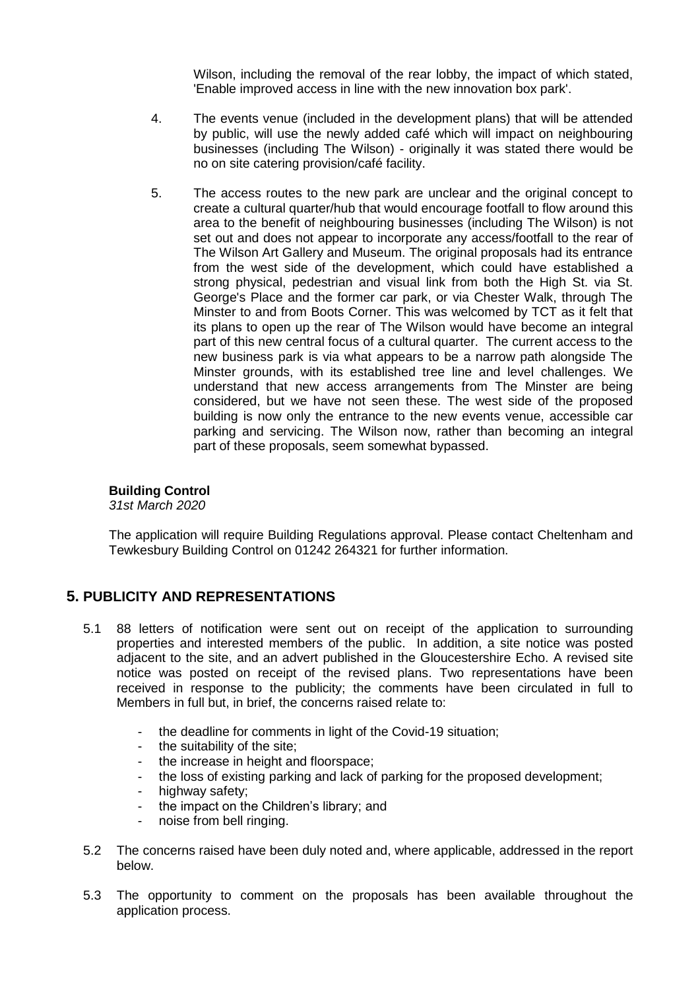Wilson, including the removal of the rear lobby, the impact of which stated, 'Enable improved access in line with the new innovation box park'.

- 4. The events venue (included in the development plans) that will be attended by public, will use the newly added café which will impact on neighbouring businesses (including The Wilson) - originally it was stated there would be no on site catering provision/café facility.
- 5. The access routes to the new park are unclear and the original concept to create a cultural quarter/hub that would encourage footfall to flow around this area to the benefit of neighbouring businesses (including The Wilson) is not set out and does not appear to incorporate any access/footfall to the rear of The Wilson Art Gallery and Museum. The original proposals had its entrance from the west side of the development, which could have established a strong physical, pedestrian and visual link from both the High St. via St. George's Place and the former car park, or via Chester Walk, through The Minster to and from Boots Corner. This was welcomed by TCT as it felt that its plans to open up the rear of The Wilson would have become an integral part of this new central focus of a cultural quarter. The current access to the new business park is via what appears to be a narrow path alongside The Minster grounds, with its established tree line and level challenges. We understand that new access arrangements from The Minster are being considered, but we have not seen these. The west side of the proposed building is now only the entrance to the new events venue, accessible car parking and servicing. The Wilson now, rather than becoming an integral part of these proposals, seem somewhat bypassed.

## **Building Control**

*31st March 2020*

The application will require Building Regulations approval. Please contact Cheltenham and Tewkesbury Building Control on 01242 264321 for further information.

## **5. PUBLICITY AND REPRESENTATIONS**

- 5.1 88 letters of notification were sent out on receipt of the application to surrounding properties and interested members of the public. In addition, a site notice was posted adjacent to the site, and an advert published in the Gloucestershire Echo. A revised site notice was posted on receipt of the revised plans. Two representations have been received in response to the publicity; the comments have been circulated in full to Members in full but, in brief, the concerns raised relate to:
	- the deadline for comments in light of the Covid-19 situation;
	- the suitability of the site;
	- the increase in height and floorspace;
	- the loss of existing parking and lack of parking for the proposed development;
	- highway safety;
	- the impact on the Children's library; and
	- noise from bell ringing.
- 5.2 The concerns raised have been duly noted and, where applicable, addressed in the report below.
- 5.3 The opportunity to comment on the proposals has been available throughout the application process.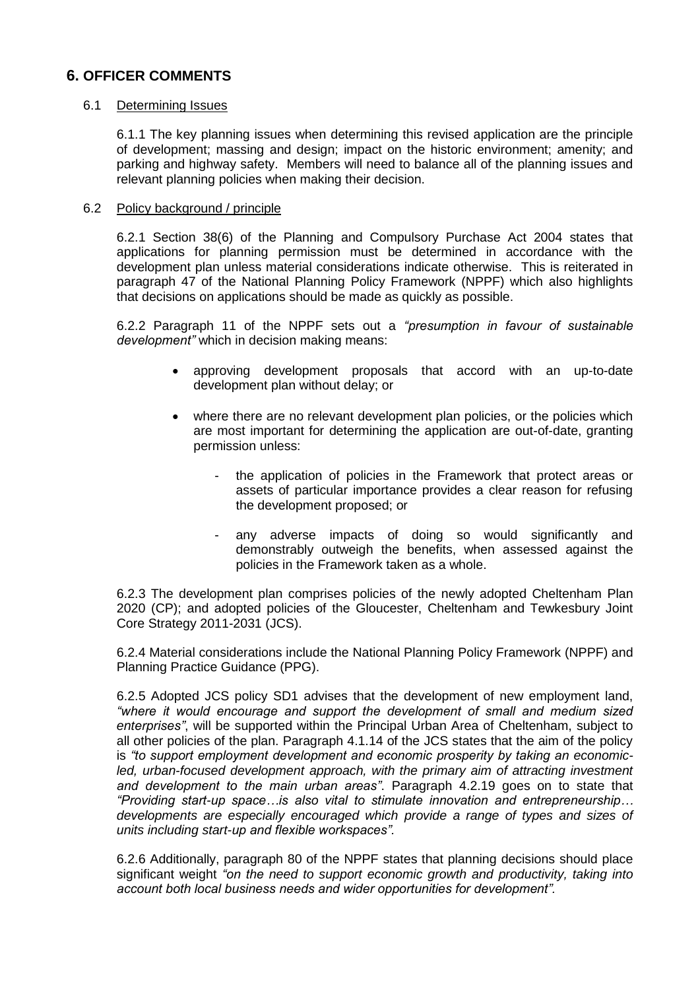## **6. OFFICER COMMENTS**

#### 6.1 Determining Issues

6.1.1 The key planning issues when determining this revised application are the principle of development; massing and design; impact on the historic environment; amenity; and parking and highway safety. Members will need to balance all of the planning issues and relevant planning policies when making their decision.

#### 6.2 Policy background / principle

6.2.1 Section 38(6) of the Planning and Compulsory Purchase Act 2004 states that applications for planning permission must be determined in accordance with the development plan unless material considerations indicate otherwise. This is reiterated in paragraph 47 of the National Planning Policy Framework (NPPF) which also highlights that decisions on applications should be made as quickly as possible.

6.2.2 Paragraph 11 of the NPPF sets out a *"presumption in favour of sustainable development"* which in decision making means:

- approving development proposals that accord with an up-to-date development plan without delay; or
- where there are no relevant development plan policies, or the policies which are most important for determining the application are out-of-date, granting permission unless:
	- the application of policies in the Framework that protect areas or assets of particular importance provides a clear reason for refusing the development proposed; or
	- any adverse impacts of doing so would significantly and demonstrably outweigh the benefits, when assessed against the policies in the Framework taken as a whole.

6.2.3 The development plan comprises policies of the newly adopted Cheltenham Plan 2020 (CP); and adopted policies of the Gloucester, Cheltenham and Tewkesbury Joint Core Strategy 2011-2031 (JCS).

6.2.4 Material considerations include the National Planning Policy Framework (NPPF) and Planning Practice Guidance (PPG).

6.2.5 Adopted JCS policy SD1 advises that the development of new employment land, *"where it would encourage and support the development of small and medium sized enterprises"*, will be supported within the Principal Urban Area of Cheltenham, subject to all other policies of the plan. Paragraph 4.1.14 of the JCS states that the aim of the policy is *"to support employment development and economic prosperity by taking an economic*led, urban-focused development approach, with the primary aim of attracting investment *and development to the main urban areas"*. Paragraph 4.2.19 goes on to state that *"Providing start-up space…is also vital to stimulate innovation and entrepreneurship… developments are especially encouraged which provide a range of types and sizes of units including start-up and flexible workspaces".*

6.2.6 Additionally, paragraph 80 of the NPPF states that planning decisions should place significant weight *"on the need to support economic growth and productivity, taking into account both local business needs and wider opportunities for development".*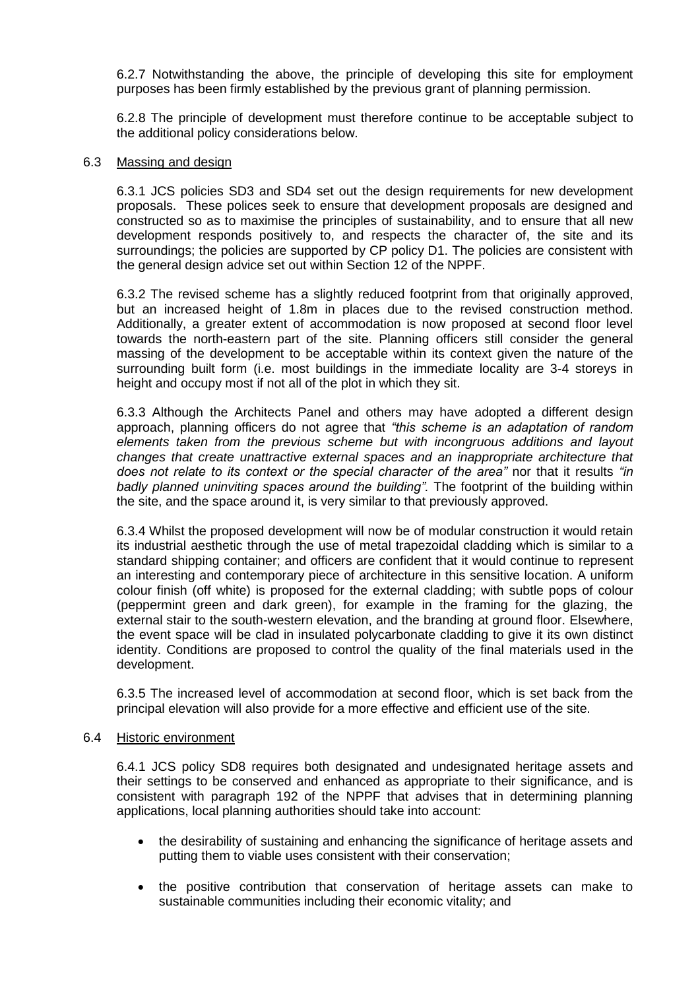6.2.7 Notwithstanding the above, the principle of developing this site for employment purposes has been firmly established by the previous grant of planning permission.

6.2.8 The principle of development must therefore continue to be acceptable subject to the additional policy considerations below.

#### 6.3 Massing and design

6.3.1 JCS policies SD3 and SD4 set out the design requirements for new development proposals. These polices seek to ensure that development proposals are designed and constructed so as to maximise the principles of sustainability, and to ensure that all new development responds positively to, and respects the character of, the site and its surroundings; the policies are supported by CP policy D1. The policies are consistent with the general design advice set out within Section 12 of the NPPF.

6.3.2 The revised scheme has a slightly reduced footprint from that originally approved, but an increased height of 1.8m in places due to the revised construction method. Additionally, a greater extent of accommodation is now proposed at second floor level towards the north-eastern part of the site. Planning officers still consider the general massing of the development to be acceptable within its context given the nature of the surrounding built form (i.e. most buildings in the immediate locality are 3-4 storeys in height and occupy most if not all of the plot in which they sit.

6.3.3 Although the Architects Panel and others may have adopted a different design approach, planning officers do not agree that *"this scheme is an adaptation of random elements taken from the previous scheme but with incongruous additions and layout changes that create unattractive external spaces and an inappropriate architecture that does not relate to its context or the special character of the area"* nor that it results *"in badly planned uninviting spaces around the building".* The footprint of the building within the site, and the space around it, is very similar to that previously approved.

6.3.4 Whilst the proposed development will now be of modular construction it would retain its industrial aesthetic through the use of metal trapezoidal cladding which is similar to a standard shipping container; and officers are confident that it would continue to represent an interesting and contemporary piece of architecture in this sensitive location. A uniform colour finish (off white) is proposed for the external cladding; with subtle pops of colour (peppermint green and dark green), for example in the framing for the glazing, the external stair to the south-western elevation, and the branding at ground floor. Elsewhere, the event space will be clad in insulated polycarbonate cladding to give it its own distinct identity. Conditions are proposed to control the quality of the final materials used in the development.

6.3.5 The increased level of accommodation at second floor, which is set back from the principal elevation will also provide for a more effective and efficient use of the site.

#### 6.4 Historic environment

6.4.1 JCS policy SD8 requires both designated and undesignated heritage assets and their settings to be conserved and enhanced as appropriate to their significance, and is consistent with paragraph 192 of the NPPF that advises that in determining planning applications, local planning authorities should take into account:

- the desirability of sustaining and enhancing the significance of heritage assets and putting them to viable uses consistent with their conservation;
- the positive contribution that conservation of heritage assets can make to sustainable communities including their economic vitality; and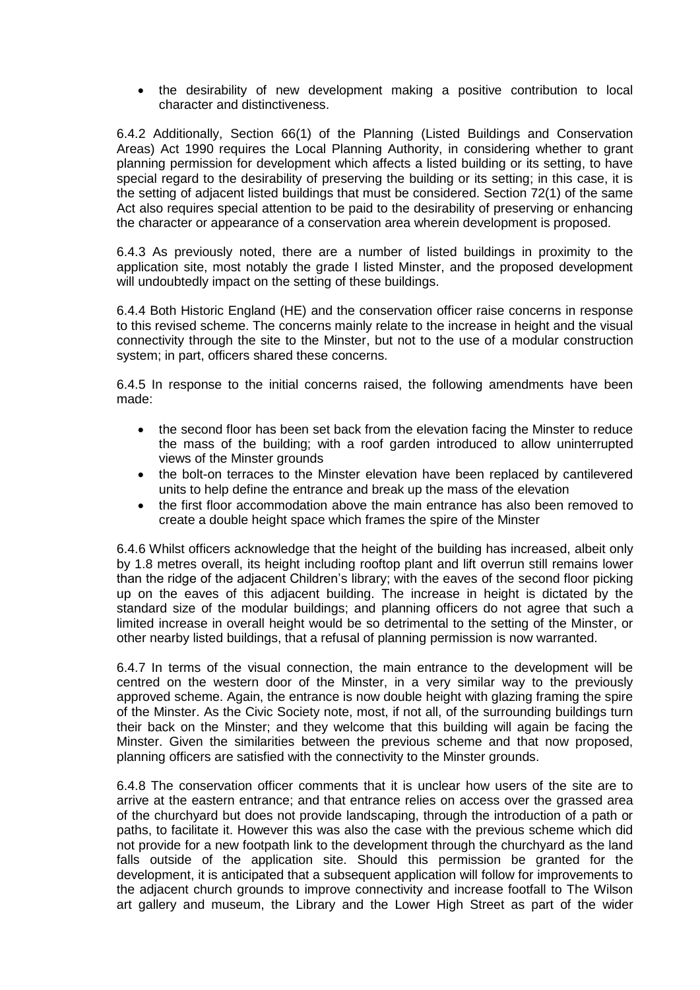the desirability of new development making a positive contribution to local character and distinctiveness.

6.4.2 Additionally, Section 66(1) of the Planning (Listed Buildings and Conservation Areas) Act 1990 requires the Local Planning Authority, in considering whether to grant planning permission for development which affects a listed building or its setting, to have special regard to the desirability of preserving the building or its setting; in this case, it is the setting of adjacent listed buildings that must be considered. Section 72(1) of the same Act also requires special attention to be paid to the desirability of preserving or enhancing the character or appearance of a conservation area wherein development is proposed.

6.4.3 As previously noted, there are a number of listed buildings in proximity to the application site, most notably the grade I listed Minster, and the proposed development will undoubtedly impact on the setting of these buildings.

6.4.4 Both Historic England (HE) and the conservation officer raise concerns in response to this revised scheme. The concerns mainly relate to the increase in height and the visual connectivity through the site to the Minster, but not to the use of a modular construction system; in part, officers shared these concerns.

6.4.5 In response to the initial concerns raised, the following amendments have been made:

- the second floor has been set back from the elevation facing the Minster to reduce the mass of the building; with a roof garden introduced to allow uninterrupted views of the Minster grounds
- the bolt-on terraces to the Minster elevation have been replaced by cantilevered units to help define the entrance and break up the mass of the elevation
- the first floor accommodation above the main entrance has also been removed to create a double height space which frames the spire of the Minster

6.4.6 Whilst officers acknowledge that the height of the building has increased, albeit only by 1.8 metres overall, its height including rooftop plant and lift overrun still remains lower than the ridge of the adjacent Children's library; with the eaves of the second floor picking up on the eaves of this adjacent building. The increase in height is dictated by the standard size of the modular buildings; and planning officers do not agree that such a limited increase in overall height would be so detrimental to the setting of the Minster, or other nearby listed buildings, that a refusal of planning permission is now warranted.

6.4.7 In terms of the visual connection, the main entrance to the development will be centred on the western door of the Minster, in a very similar way to the previously approved scheme. Again, the entrance is now double height with glazing framing the spire of the Minster. As the Civic Society note, most, if not all, of the surrounding buildings turn their back on the Minster; and they welcome that this building will again be facing the Minster. Given the similarities between the previous scheme and that now proposed, planning officers are satisfied with the connectivity to the Minster grounds.

6.4.8 The conservation officer comments that it is unclear how users of the site are to arrive at the eastern entrance; and that entrance relies on access over the grassed area of the churchyard but does not provide landscaping, through the introduction of a path or paths, to facilitate it. However this was also the case with the previous scheme which did not provide for a new footpath link to the development through the churchyard as the land falls outside of the application site. Should this permission be granted for the development, it is anticipated that a subsequent application will follow for improvements to the adjacent church grounds to improve connectivity and increase footfall to The Wilson art gallery and museum, the Library and the Lower High Street as part of the wider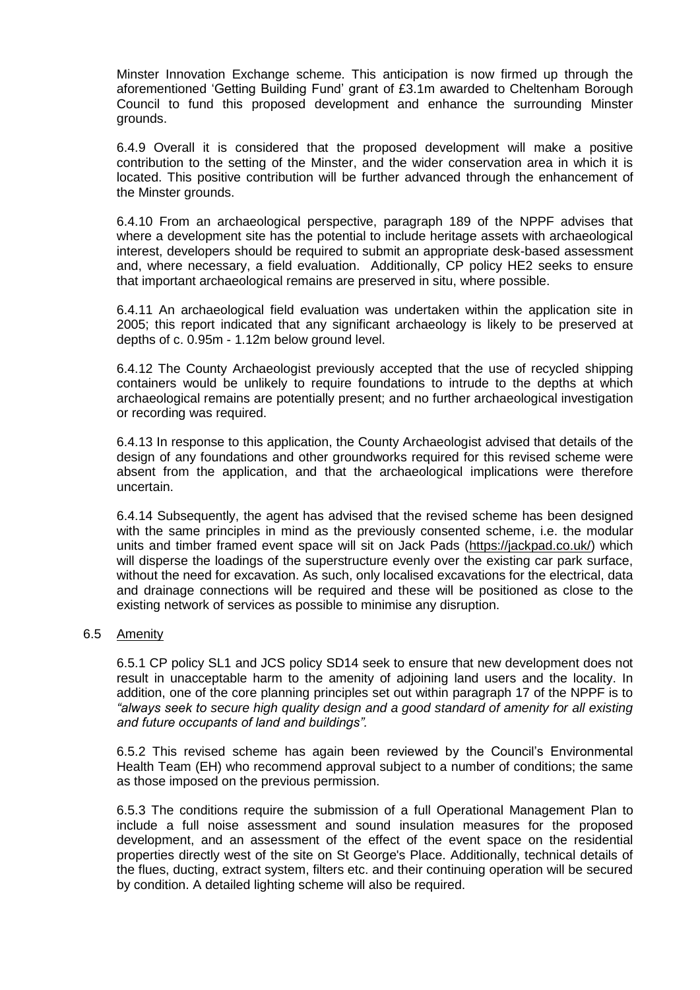Minster Innovation Exchange scheme. This anticipation is now firmed up through the aforementioned 'Getting Building Fund' grant of £3.1m awarded to Cheltenham Borough Council to fund this proposed development and enhance the surrounding Minster grounds.

6.4.9 Overall it is considered that the proposed development will make a positive contribution to the setting of the Minster, and the wider conservation area in which it is located. This positive contribution will be further advanced through the enhancement of the Minster grounds.

6.4.10 From an archaeological perspective, paragraph 189 of the NPPF advises that where a development site has the potential to include heritage assets with archaeological interest, developers should be required to submit an appropriate desk-based assessment and, where necessary, a field evaluation. Additionally, CP policy HE2 seeks to ensure that important archaeological remains are preserved in situ, where possible.

6.4.11 An archaeological field evaluation was undertaken within the application site in 2005; this report indicated that any significant archaeology is likely to be preserved at depths of c. 0.95m - 1.12m below ground level.

6.4.12 The County Archaeologist previously accepted that the use of recycled shipping containers would be unlikely to require foundations to intrude to the depths at which archaeological remains are potentially present; and no further archaeological investigation or recording was required.

6.4.13 In response to this application, the County Archaeologist advised that details of the design of any foundations and other groundworks required for this revised scheme were absent from the application, and that the archaeological implications were therefore uncertain.

6.4.14 Subsequently, the agent has advised that the revised scheme has been designed with the same principles in mind as the previously consented scheme, i.e. the modular units and timber framed event space will sit on Jack Pads [\(https://jackpad.co.uk/\)](https://jackpad.co.uk/) which will disperse the loadings of the superstructure evenly over the existing car park surface, without the need for excavation. As such, only localised excavations for the electrical, data and drainage connections will be required and these will be positioned as close to the existing network of services as possible to minimise any disruption.

#### 6.5 Amenity

6.5.1 CP policy SL1 and JCS policy SD14 seek to ensure that new development does not result in unacceptable harm to the amenity of adjoining land users and the locality. In addition, one of the core planning principles set out within paragraph 17 of the NPPF is to *"always seek to secure high quality design and a good standard of amenity for all existing and future occupants of land and buildings".*

6.5.2 This revised scheme has again been reviewed by the Council's Environmental Health Team (EH) who recommend approval subject to a number of conditions; the same as those imposed on the previous permission.

6.5.3 The conditions require the submission of a full Operational Management Plan to include a full noise assessment and sound insulation measures for the proposed development, and an assessment of the effect of the event space on the residential properties directly west of the site on St George's Place. Additionally, technical details of the flues, ducting, extract system, filters etc. and their continuing operation will be secured by condition. A detailed lighting scheme will also be required.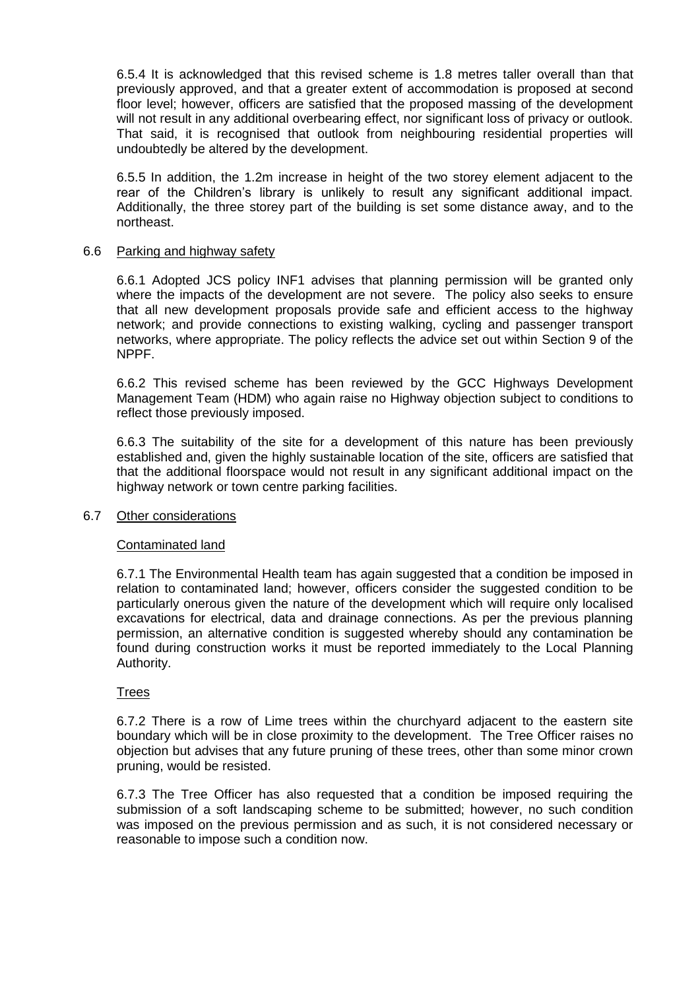6.5.4 It is acknowledged that this revised scheme is 1.8 metres taller overall than that previously approved, and that a greater extent of accommodation is proposed at second floor level; however, officers are satisfied that the proposed massing of the development will not result in any additional overbearing effect, nor significant loss of privacy or outlook. That said, it is recognised that outlook from neighbouring residential properties will undoubtedly be altered by the development.

6.5.5 In addition, the 1.2m increase in height of the two storey element adjacent to the rear of the Children's library is unlikely to result any significant additional impact. Additionally, the three storey part of the building is set some distance away, and to the northeast.

#### 6.6 Parking and highway safety

6.6.1 Adopted JCS policy INF1 advises that planning permission will be granted only where the impacts of the development are not severe. The policy also seeks to ensure that all new development proposals provide safe and efficient access to the highway network; and provide connections to existing walking, cycling and passenger transport networks, where appropriate. The policy reflects the advice set out within Section 9 of the NPPF.

6.6.2 This revised scheme has been reviewed by the GCC Highways Development Management Team (HDM) who again raise no Highway objection subject to conditions to reflect those previously imposed.

6.6.3 The suitability of the site for a development of this nature has been previously established and, given the highly sustainable location of the site, officers are satisfied that that the additional floorspace would not result in any significant additional impact on the highway network or town centre parking facilities.

#### 6.7 Other considerations

#### Contaminated land

6.7.1 The Environmental Health team has again suggested that a condition be imposed in relation to contaminated land; however, officers consider the suggested condition to be particularly onerous given the nature of the development which will require only localised excavations for electrical, data and drainage connections. As per the previous planning permission, an alternative condition is suggested whereby should any contamination be found during construction works it must be reported immediately to the Local Planning Authority.

#### **Trees**

6.7.2 There is a row of Lime trees within the churchyard adjacent to the eastern site boundary which will be in close proximity to the development. The Tree Officer raises no objection but advises that any future pruning of these trees, other than some minor crown pruning, would be resisted.

6.7.3 The Tree Officer has also requested that a condition be imposed requiring the submission of a soft landscaping scheme to be submitted; however, no such condition was imposed on the previous permission and as such, it is not considered necessary or reasonable to impose such a condition now.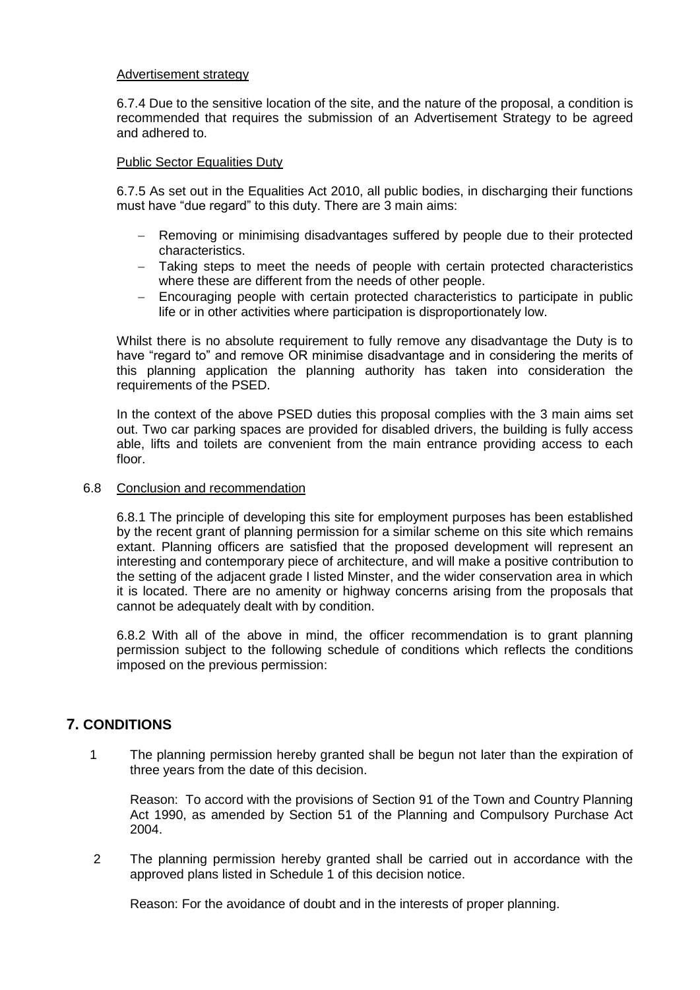### Advertisement strategy

6.7.4 Due to the sensitive location of the site, and the nature of the proposal, a condition is recommended that requires the submission of an Advertisement Strategy to be agreed and adhered to.

### Public Sector Equalities Duty

6.7.5 As set out in the Equalities Act 2010, all public bodies, in discharging their functions must have "due regard" to this duty. There are 3 main aims:

- Removing or minimising disadvantages suffered by people due to their protected characteristics.
- Taking steps to meet the needs of people with certain protected characteristics where these are different from the needs of other people.
- Encouraging people with certain protected characteristics to participate in public life or in other activities where participation is disproportionately low.

Whilst there is no absolute requirement to fully remove any disadvantage the Duty is to have "regard to" and remove OR minimise disadvantage and in considering the merits of this planning application the planning authority has taken into consideration the requirements of the PSED.

In the context of the above PSED duties this proposal complies with the 3 main aims set out. Two car parking spaces are provided for disabled drivers, the building is fully access able, lifts and toilets are convenient from the main entrance providing access to each floor.

#### 6.8 Conclusion and recommendation

6.8.1 The principle of developing this site for employment purposes has been established by the recent grant of planning permission for a similar scheme on this site which remains extant. Planning officers are satisfied that the proposed development will represent an interesting and contemporary piece of architecture, and will make a positive contribution to the setting of the adjacent grade I listed Minster, and the wider conservation area in which it is located. There are no amenity or highway concerns arising from the proposals that cannot be adequately dealt with by condition.

6.8.2 With all of the above in mind, the officer recommendation is to grant planning permission subject to the following schedule of conditions which reflects the conditions imposed on the previous permission:

## **7. CONDITIONS**

1 The planning permission hereby granted shall be begun not later than the expiration of three years from the date of this decision.

Reason: To accord with the provisions of Section 91 of the Town and Country Planning Act 1990, as amended by Section 51 of the Planning and Compulsory Purchase Act 2004.

2 The planning permission hereby granted shall be carried out in accordance with the approved plans listed in Schedule 1 of this decision notice.

Reason: For the avoidance of doubt and in the interests of proper planning.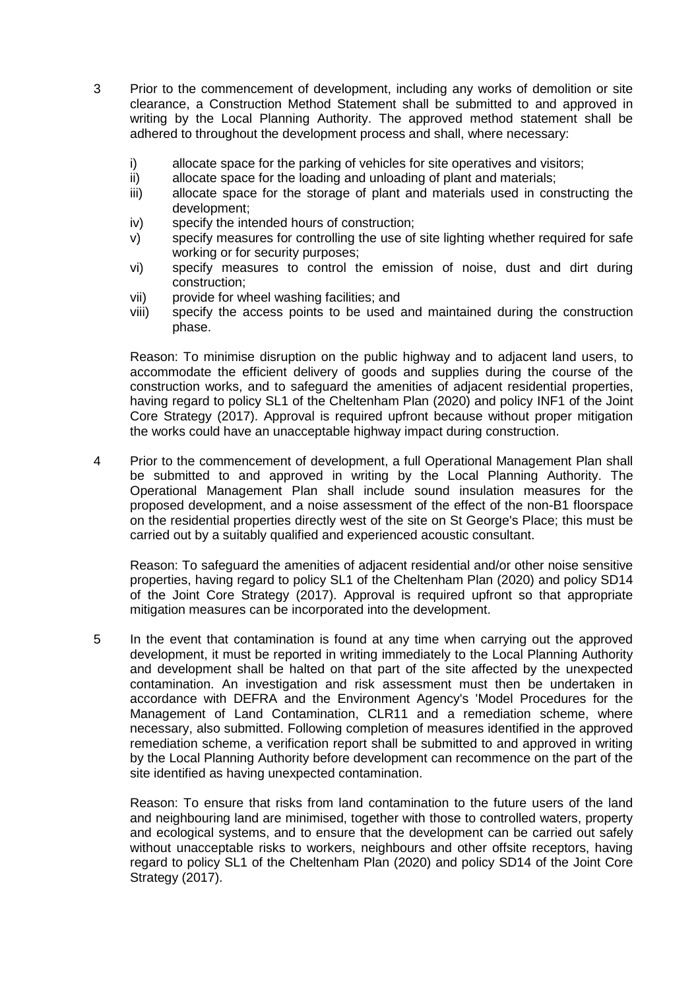- 3 Prior to the commencement of development, including any works of demolition or site clearance, a Construction Method Statement shall be submitted to and approved in writing by the Local Planning Authority. The approved method statement shall be adhered to throughout the development process and shall, where necessary:
	- i) allocate space for the parking of vehicles for site operatives and visitors;
	- ii) allocate space for the loading and unloading of plant and materials;
	- iii) allocate space for the storage of plant and materials used in constructing the development;
	- iv) specify the intended hours of construction;
	- v) specify measures for controlling the use of site lighting whether required for safe working or for security purposes;
	- vi) specify measures to control the emission of noise, dust and dirt during construction;
	- vii) provide for wheel washing facilities; and
	- viii) specify the access points to be used and maintained during the construction phase.

Reason: To minimise disruption on the public highway and to adjacent land users, to accommodate the efficient delivery of goods and supplies during the course of the construction works, and to safeguard the amenities of adjacent residential properties, having regard to policy SL1 of the Cheltenham Plan (2020) and policy INF1 of the Joint Core Strategy (2017). Approval is required upfront because without proper mitigation the works could have an unacceptable highway impact during construction.

4 Prior to the commencement of development, a full Operational Management Plan shall be submitted to and approved in writing by the Local Planning Authority. The Operational Management Plan shall include sound insulation measures for the proposed development, and a noise assessment of the effect of the non-B1 floorspace on the residential properties directly west of the site on St George's Place; this must be carried out by a suitably qualified and experienced acoustic consultant.

Reason: To safeguard the amenities of adjacent residential and/or other noise sensitive properties, having regard to policy SL1 of the Cheltenham Plan (2020) and policy SD14 of the Joint Core Strategy (2017). Approval is required upfront so that appropriate mitigation measures can be incorporated into the development.

5 In the event that contamination is found at any time when carrying out the approved development, it must be reported in writing immediately to the Local Planning Authority and development shall be halted on that part of the site affected by the unexpected contamination. An investigation and risk assessment must then be undertaken in accordance with DEFRA and the Environment Agency's 'Model Procedures for the Management of Land Contamination, CLR11 and a remediation scheme, where necessary, also submitted. Following completion of measures identified in the approved remediation scheme, a verification report shall be submitted to and approved in writing by the Local Planning Authority before development can recommence on the part of the site identified as having unexpected contamination.

Reason: To ensure that risks from land contamination to the future users of the land and neighbouring land are minimised, together with those to controlled waters, property and ecological systems, and to ensure that the development can be carried out safely without unacceptable risks to workers, neighbours and other offsite receptors, having regard to policy SL1 of the Cheltenham Plan (2020) and policy SD14 of the Joint Core Strategy (2017).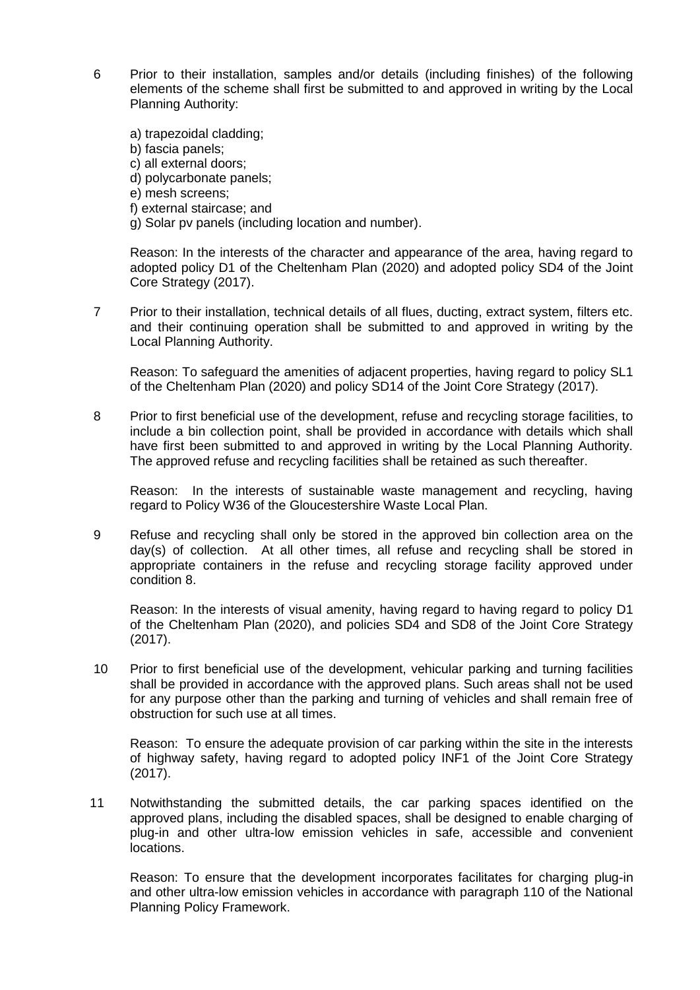6 Prior to their installation, samples and/or details (including finishes) of the following elements of the scheme shall first be submitted to and approved in writing by the Local Planning Authority:

a) trapezoidal cladding; b) fascia panels; c) all external doors; d) polycarbonate panels; e) mesh screens; f) external staircase; and g) Solar pv panels (including location and number).

Reason: In the interests of the character and appearance of the area, having regard to adopted policy D1 of the Cheltenham Plan (2020) and adopted policy SD4 of the Joint Core Strategy (2017).

7 Prior to their installation, technical details of all flues, ducting, extract system, filters etc. and their continuing operation shall be submitted to and approved in writing by the Local Planning Authority.

Reason: To safeguard the amenities of adjacent properties, having regard to policy SL1 of the Cheltenham Plan (2020) and policy SD14 of the Joint Core Strategy (2017).

8 Prior to first beneficial use of the development, refuse and recycling storage facilities, to include a bin collection point, shall be provided in accordance with details which shall have first been submitted to and approved in writing by the Local Planning Authority. The approved refuse and recycling facilities shall be retained as such thereafter.

Reason: In the interests of sustainable waste management and recycling, having regard to Policy W36 of the Gloucestershire Waste Local Plan.

9 Refuse and recycling shall only be stored in the approved bin collection area on the day(s) of collection. At all other times, all refuse and recycling shall be stored in appropriate containers in the refuse and recycling storage facility approved under condition 8.

Reason: In the interests of visual amenity, having regard to having regard to policy D1 of the Cheltenham Plan (2020), and policies SD4 and SD8 of the Joint Core Strategy (2017).

10 Prior to first beneficial use of the development, vehicular parking and turning facilities shall be provided in accordance with the approved plans. Such areas shall not be used for any purpose other than the parking and turning of vehicles and shall remain free of obstruction for such use at all times.

Reason: To ensure the adequate provision of car parking within the site in the interests of highway safety, having regard to adopted policy INF1 of the Joint Core Strategy (2017).

11 Notwithstanding the submitted details, the car parking spaces identified on the approved plans, including the disabled spaces, shall be designed to enable charging of plug-in and other ultra-low emission vehicles in safe, accessible and convenient locations.

Reason: To ensure that the development incorporates facilitates for charging plug-in and other ultra-low emission vehicles in accordance with paragraph 110 of the National Planning Policy Framework.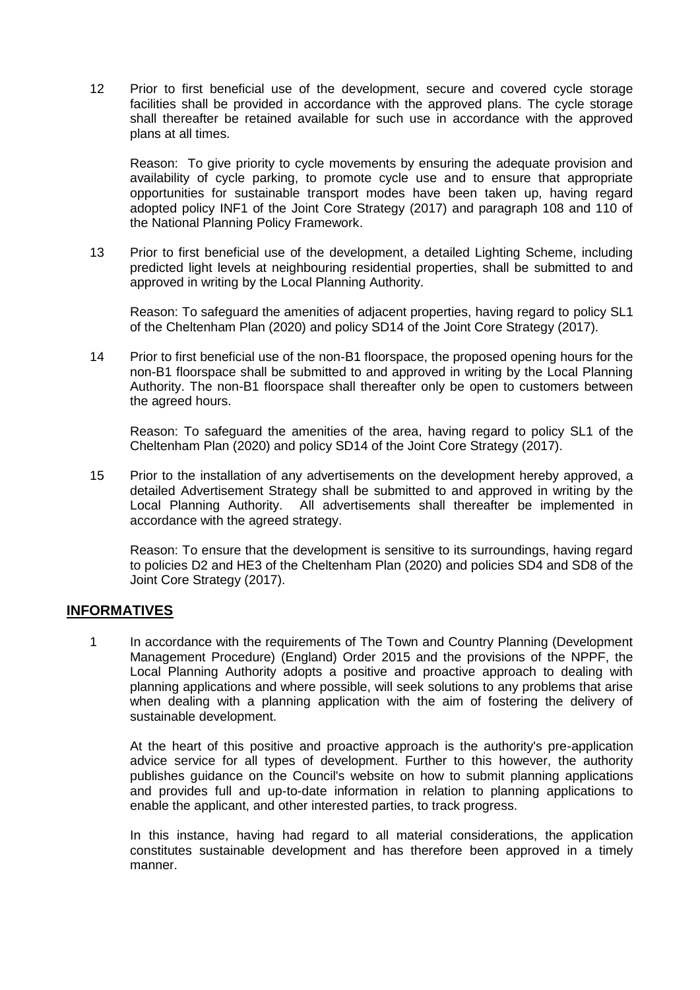12 Prior to first beneficial use of the development, secure and covered cycle storage facilities shall be provided in accordance with the approved plans. The cycle storage shall thereafter be retained available for such use in accordance with the approved plans at all times.

Reason: To give priority to cycle movements by ensuring the adequate provision and availability of cycle parking, to promote cycle use and to ensure that appropriate opportunities for sustainable transport modes have been taken up, having regard adopted policy INF1 of the Joint Core Strategy (2017) and paragraph 108 and 110 of the National Planning Policy Framework.

13 Prior to first beneficial use of the development, a detailed Lighting Scheme, including predicted light levels at neighbouring residential properties, shall be submitted to and approved in writing by the Local Planning Authority.

Reason: To safeguard the amenities of adjacent properties, having regard to policy SL1 of the Cheltenham Plan (2020) and policy SD14 of the Joint Core Strategy (2017).

14 Prior to first beneficial use of the non-B1 floorspace, the proposed opening hours for the non-B1 floorspace shall be submitted to and approved in writing by the Local Planning Authority. The non-B1 floorspace shall thereafter only be open to customers between the agreed hours.

Reason: To safeguard the amenities of the area, having regard to policy SL1 of the Cheltenham Plan (2020) and policy SD14 of the Joint Core Strategy (2017).

15 Prior to the installation of any advertisements on the development hereby approved, a detailed Advertisement Strategy shall be submitted to and approved in writing by the Local Planning Authority. All advertisements shall thereafter be implemented in accordance with the agreed strategy.

Reason: To ensure that the development is sensitive to its surroundings, having regard to policies D2 and HE3 of the Cheltenham Plan (2020) and policies SD4 and SD8 of the Joint Core Strategy (2017).

## **INFORMATIVES**

1 In accordance with the requirements of The Town and Country Planning (Development Management Procedure) (England) Order 2015 and the provisions of the NPPF, the Local Planning Authority adopts a positive and proactive approach to dealing with planning applications and where possible, will seek solutions to any problems that arise when dealing with a planning application with the aim of fostering the delivery of sustainable development.

At the heart of this positive and proactive approach is the authority's pre-application advice service for all types of development. Further to this however, the authority publishes guidance on the Council's website on how to submit planning applications and provides full and up-to-date information in relation to planning applications to enable the applicant, and other interested parties, to track progress.

In this instance, having had regard to all material considerations, the application constitutes sustainable development and has therefore been approved in a timely manner.